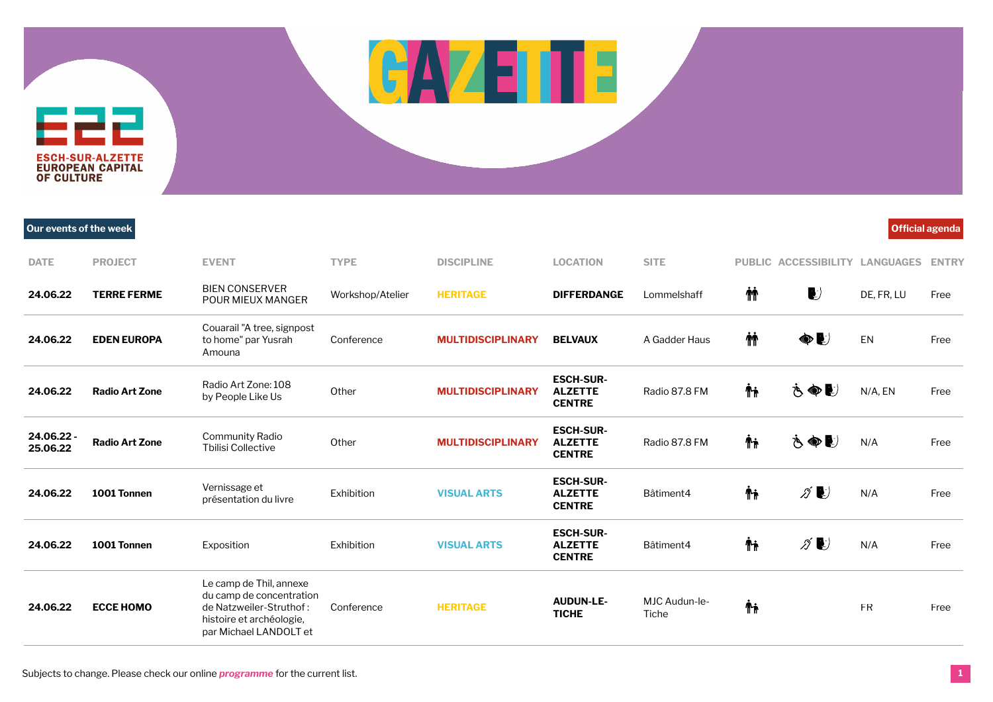## **DATE PROJECT EVENT TYPE DISCIPLINE LOCATION SITE PUBLIC ACCESSIBILITY LANGUAGES ENTRY**

드근근 **ESCH-SUR-ALZETTE EUROPEAN CAPITAL<br>OF CULTURE** 

| Our events of the week |                       |                                                                                                                                      |                  |                          |                                                     |                        |    |                                      |            | <b>Official agenda</b> |
|------------------------|-----------------------|--------------------------------------------------------------------------------------------------------------------------------------|------------------|--------------------------|-----------------------------------------------------|------------------------|----|--------------------------------------|------------|------------------------|
| <b>DATE</b>            | <b>PROJECT</b>        | <b>EVENT</b>                                                                                                                         | <b>TYPE</b>      | <b>DISCIPLINE</b>        | <b>LOCATION</b>                                     | <b>SITE</b>            |    | PUBLIC ACCESSIBILITY LANGUAGES       |            | <b>ENTRY</b>           |
| 24.06.22               | <b>TERRE FERME</b>    | <b>BIEN CONSERVER</b><br>POUR MIEUX MANGER                                                                                           | Workshop/Atelier | <b>HERITAGE</b>          | <b>DIFFERDANGE</b>                                  | Lommelshaff            | ΜŤ | $\left\vert \mathbf{c}\right\rangle$ | DE, FR, LU | Free                   |
| 24.06.22               | <b>EDEN EUROPA</b>    | Couarail "A tree, signpost<br>to home" par Yusrah<br>Amouna                                                                          | Conference       | <b>MULTIDISCIPLINARY</b> | <b>BELVAUX</b>                                      | A Gadder Haus          | ΜŤ | $\bullet$                            | EN         | Free                   |
| 24.06.22               | <b>Radio Art Zone</b> | Radio Art Zone: 108<br>by People Like Us                                                                                             | Other            | <b>MULTIDISCIPLINARY</b> | <b>ESCH-SUR-</b><br><b>ALZETTE</b><br><b>CENTRE</b> | Radio 87.8 FM          | Ψŗ | もぬじ                                  | N/A, EN    | Free                   |
| 24.06.22 -<br>25.06.22 | <b>Radio Art Zone</b> | Community Radio<br><b>Tbilisi Collective</b>                                                                                         | Other            | <b>MULTIDISCIPLINARY</b> | <b>ESCH-SUR-</b><br><b>ALZETTE</b><br><b>CENTRE</b> | Radio 87.8 FM          | Ψŗ | さぬじ                                  | N/A        | Free                   |
| 24.06.22               | 1001 Tonnen           | Vernissage et<br>présentation du livre                                                                                               | Exhibition       | <b>VISUAL ARTS</b>       | <b>ESCH-SUR-</b><br><b>ALZETTE</b><br><b>CENTRE</b> | Bâtiment4              | Ψŗ | ∥ ♥                                  | N/A        | Free                   |
| 24.06.22               | 1001 Tonnen           | Exposition                                                                                                                           | Exhibition       | <b>VISUAL ARTS</b>       | <b>ESCH-SUR-</b><br><b>ALZETTE</b><br><b>CENTRE</b> | Bâtiment4              | Ψŗ | $\mathscr{D}$ $\blacktriangleright$  | N/A        | Free                   |
| 24.06.22               | <b>ECCE HOMO</b>      | Le camp de Thil, annexe<br>du camp de concentration<br>de Natzweiler-Struthof:<br>histoire et archéologie,<br>par Michael LANDOLT et | Conference       | <b>HERITAGE</b>          | <b>AUDUN-LE-</b><br><b>TICHE</b>                    | MJC Audun-le-<br>Tiche | Ψŗ |                                      | <b>FR</b>  | Free                   |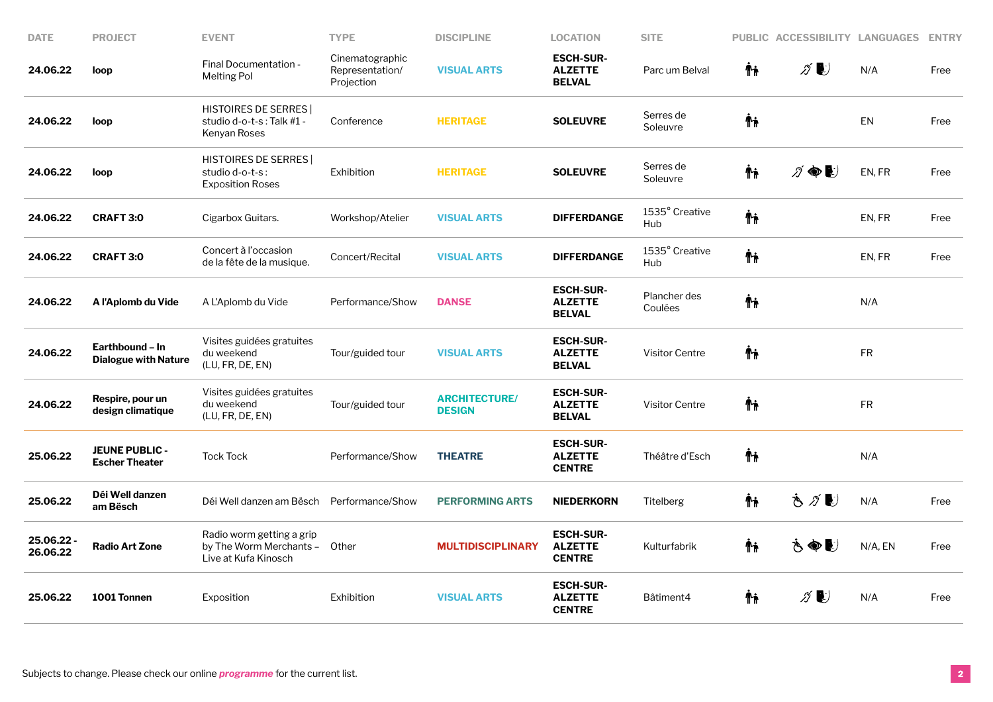| <b>DATE</b>            | <b>PROJECT</b>                                 | <b>EVENT</b>                                                                       | <b>TYPE</b>                                      | <b>DISCIPLINE</b>                     | <b>LOCATION</b>                                     | <b>SITE</b>             |     | PUBLIC ACCESSIBILITY LANGUAGES      |            | <b>ENTRY</b> |
|------------------------|------------------------------------------------|------------------------------------------------------------------------------------|--------------------------------------------------|---------------------------------------|-----------------------------------------------------|-------------------------|-----|-------------------------------------|------------|--------------|
| 24.06.22               | loop                                           | Final Documentation -<br><b>Melting Pol</b>                                        | Cinematographic<br>Representation/<br>Projection | <b>VISUAL ARTS</b>                    | <b>ESCH-SUR-</b><br><b>ALZETTE</b><br><b>BELVAL</b> | Parc um Belval          | Ϋħ  | $\mathcal{D}$                       | N/A        | Free         |
| 24.06.22               | loop                                           | <b>HISTOIRES DE SERRES</b><br>studio d-o-t-s: Talk #1 -<br>Kenyan Roses            | Conference                                       | <b>HERITAGE</b>                       | <b>SOLEUVRE</b>                                     | Serres de<br>Soleuvre   | Ψŗ  |                                     | EN         | Free         |
| 24.06.22               | loop                                           | <b>HISTOIRES DE SERRES</b><br>studio d-o-t-s:<br><b>Exposition Roses</b>           | Exhibition                                       | <b>HERITAGE</b>                       | <b>SOLEUVRE</b>                                     | Serres de<br>Soleuvre   | Ψŗ  | $\cancel{\partial} \circledast$     | EN, FR     | Free         |
| 24.06.22               | <b>CRAFT 3:0</b>                               | Cigarbox Guitars.                                                                  | Workshop/Atelier                                 | <b>VISUAL ARTS</b>                    | <b>DIFFERDANGE</b>                                  | 1535° Creative<br>Hub   | ᡮ₦  |                                     | EN, FR     | Free         |
| 24.06.22               | <b>CRAFT 3:0</b>                               | Concert à l'occasion<br>de la fête de la musique.                                  | Concert/Recital                                  | <b>VISUAL ARTS</b>                    | <b>DIFFERDANGE</b>                                  | 1535° Creative<br>Hub   | Ψŗ  |                                     | EN, FR     | Free         |
| 24.06.22               | A l'Aplomb du Vide                             | A L'Aplomb du Vide                                                                 | Performance/Show                                 | <b>DANSE</b>                          | <b>ESCH-SUR-</b><br><b>ALZETTE</b><br><b>BELVAL</b> | Plancher des<br>Coulées | Ϋ́  |                                     | N/A        |              |
| 24.06.22               | Earthbound – In<br><b>Dialogue with Nature</b> | Visites guidées gratuites<br>du weekend<br>(LU, FR, DE, EN)                        | Tour/guided tour                                 | <b>VISUAL ARTS</b>                    | <b>ESCH-SUR-</b><br><b>ALZETTE</b><br><b>BELVAL</b> | <b>Visitor Centre</b>   | Ϋ'n |                                     | ${\sf FR}$ |              |
| 24.06.22               | Respire, pour un<br>design climatique          | Visites guidées gratuites<br>du weekend<br>(LU, FR, DE, EN)                        | Tour/guided tour                                 | <b>ARCHITECTURE/</b><br><b>DESIGN</b> | <b>ESCH-SUR-</b><br><b>ALZETTE</b><br><b>BELVAL</b> | <b>Visitor Centre</b>   | Ϋ'n |                                     | ${\sf FR}$ |              |
| 25.06.22               | <b>JEUNE PUBLIC -</b><br><b>Escher Theater</b> | <b>Tock Tock</b>                                                                   | Performance/Show                                 | <b>THEATRE</b>                        | <b>ESCH-SUR-</b><br><b>ALZETTE</b><br><b>CENTRE</b> | Théâtre d'Esch          | ħ   |                                     | N/A        |              |
| 25.06.22               | Déi Well danzen<br>am Bësch                    | Déi Well danzen am Bësch                                                           | Performance/Show                                 | <b>PERFORMING ARTS</b>                | <b>NIEDERKORN</b>                                   | Titelberg               | ħ   | もグじ                                 | N/A        | Free         |
| 25.06.22 -<br>26.06.22 | <b>Radio Art Zone</b>                          | Radio worm getting a grip<br>by The Worm Merchants - Other<br>Live at Kufa Kinosch |                                                  | <b>MULTIDISCIPLINARY</b>              | <b>ESCH-SUR-</b><br><b>ALZETTE</b><br><b>CENTRE</b> | Kulturfabrik            | Ϋħ  | もぬじ                                 | N/A, EN    | Free         |
| 25.06.22               | 1001 Tonnen                                    | Exposition                                                                         | Exhibition                                       | <b>VISUAL ARTS</b>                    | <b>ESCH-SUR-</b><br><b>ALZETTE</b><br><b>CENTRE</b> | Bâtiment4               | Ϋ'n | $\mathscr{D}$ $\blacktriangleright$ | N/A        | Free         |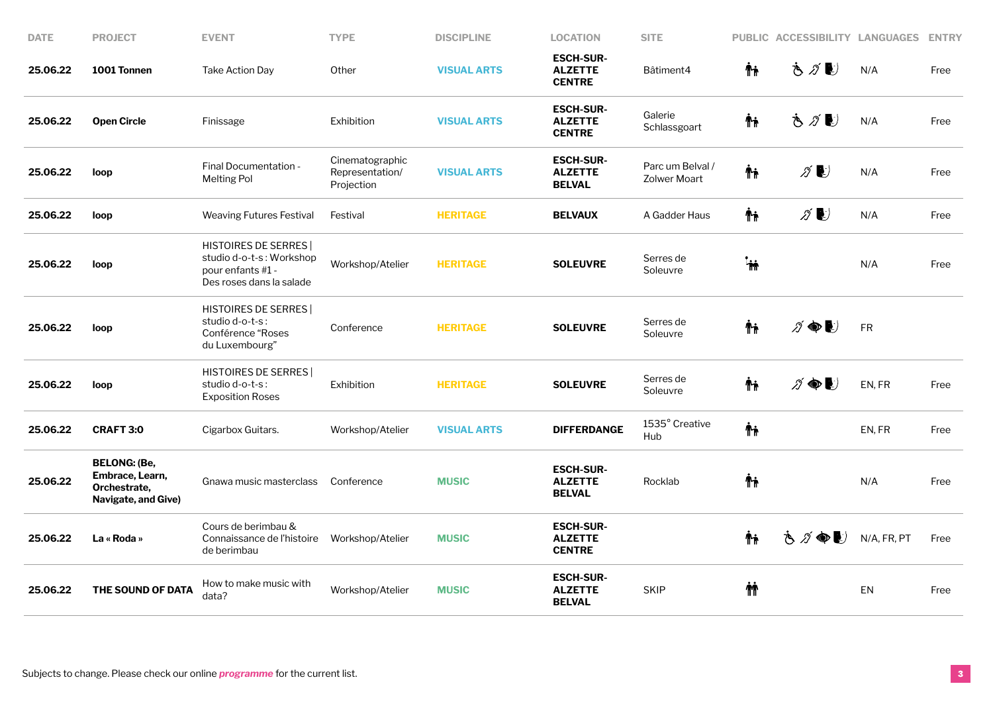| <b>PROJECT</b>                                                                | <b>EVENT</b>                                                                                            | <b>TYPE</b>                                      | <b>DISCIPLINE</b>  | <b>LOCATION</b>                                     | <b>SITE</b>                             |           | PUBLIC ACCESSIBILITY LANGUAGES      |             | <b>ENTRY</b> |
|-------------------------------------------------------------------------------|---------------------------------------------------------------------------------------------------------|--------------------------------------------------|--------------------|-----------------------------------------------------|-----------------------------------------|-----------|-------------------------------------|-------------|--------------|
| 1001 Tonnen                                                                   | <b>Take Action Day</b>                                                                                  | Other                                            | <b>VISUAL ARTS</b> | <b>ESCH-SUR-</b><br><b>ALZETTE</b><br><b>CENTRE</b> | Bâtiment4                               | Ψŗ        | もがじ                                 | N/A         | Free         |
| <b>Open Circle</b>                                                            | Finissage                                                                                               | Exhibition                                       | <b>VISUAL ARTS</b> | <b>ESCH-SUR-</b><br><b>ALZETTE</b><br><b>CENTRE</b> | Galerie<br>Schlassgoart                 | Ψŗ        | もグじ                                 | N/A         | Free         |
| loop                                                                          | Final Documentation -<br><b>Melting Pol</b>                                                             | Cinematographic<br>Representation/<br>Projection | <b>VISUAL ARTS</b> | <b>ESCH-SUR-</b><br><b>ALZETTE</b><br><b>BELVAL</b> | Parc um Belval /<br><b>Zolwer Moart</b> | Ψŗ        | $\mathscr{D}$ $\blacktriangleright$ | N/A         | Free         |
| loop                                                                          | <b>Weaving Futures Festival</b>                                                                         | Festival                                         | <b>HERITAGE</b>    | <b>BELVAUX</b>                                      | A Gadder Haus                           | İή        | $\mathscr{D}$ $\blacktriangleright$ | N/A         | Free         |
| loop                                                                          | <b>HISTOIRES DE SERRES</b><br>studio d-o-t-s: Workshop<br>pour enfants #1 -<br>Des roses dans la salade | Workshop/Atelier                                 | <b>HERITAGE</b>    | <b>SOLEUVRE</b>                                     | Serres de<br>Soleuvre                   | <b>in</b> |                                     | N/A         | Free         |
| loop                                                                          | <b>HISTOIRES DE SERRES</b><br>studio d-o-t-s:<br>Conférence "Roses<br>du Luxembourg"                    | Conference                                       | <b>HERITAGE</b>    | <b>SOLEUVRE</b>                                     | Serres de<br>Soleuvre                   | Ψŗ        | $\n  D$                             | <b>FR</b>   |              |
| loop                                                                          | <b>HISTOIRES DE SERRES</b><br>studio d-o-t-s:<br><b>Exposition Roses</b>                                | Exhibition                                       | <b>HERITAGE</b>    | <b>SOLEUVRE</b>                                     | Serres de<br>Soleuvre                   | Ψŗ        | $\ni \bullet \bullet$               | EN, FR      | Free         |
| <b>CRAFT 3:0</b>                                                              | Cigarbox Guitars.                                                                                       | Workshop/Atelier                                 | <b>VISUAL ARTS</b> | <b>DIFFERDANGE</b>                                  | 1535° Creative<br>Hub                   | Ψŗ        |                                     | EN, FR      | Free         |
| <b>BELONG: (Be,</b><br>Embrace, Learn,<br>Orchestrate,<br>Navigate, and Give) | Gnawa music masterclass                                                                                 | Conference                                       | <b>MUSIC</b>       | <b>ESCH-SUR-</b><br><b>ALZETTE</b><br><b>BELVAL</b> | Rocklab                                 | ᡮᡝ        |                                     | N/A         | Free         |
| La « Roda »                                                                   | Cours de berimbau &<br>Connaissance de l'histoire<br>de berimbau                                        | Workshop/Atelier                                 | <b>MUSIC</b>       | <b>ESCH-SUR-</b><br><b>ALZETTE</b><br><b>CENTRE</b> |                                         | Ψŗ        | さグ●し                                | N/A, FR, PT | Free         |
| THE SOUND OF DATA                                                             | How to make music with<br>data?                                                                         | Workshop/Atelier                                 | <b>MUSIC</b>       | <b>ESCH-SUR-</b><br><b>ALZETTE</b><br><b>BELVAL</b> | <b>SKIP</b>                             | ΜÌ        |                                     | <b>EN</b>   | Free         |
|                                                                               |                                                                                                         |                                                  |                    |                                                     |                                         |           |                                     |             |              |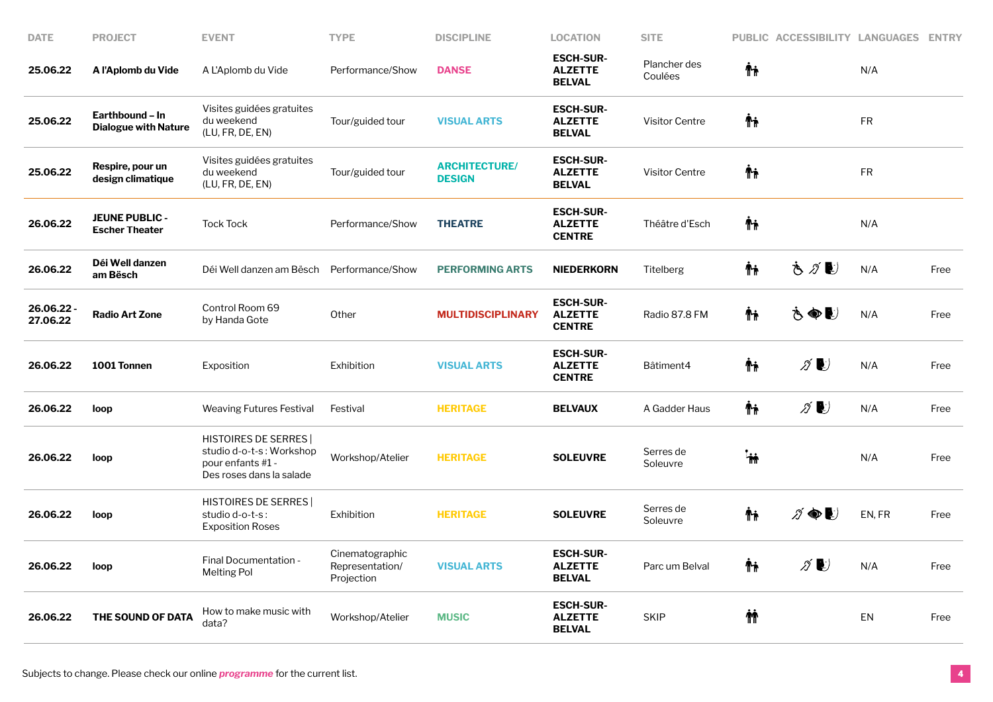| <b>DATE</b>           | <b>PROJECT</b>                                 | <b>EVENT</b>                                                                                            | <b>TYPE</b>                                      | <b>DISCIPLINE</b>                     | <b>LOCATION</b>                                     | <b>SITE</b>             |           | PUBLIC ACCESSIBILITY LANGUAGES ENTRY |           |      |
|-----------------------|------------------------------------------------|---------------------------------------------------------------------------------------------------------|--------------------------------------------------|---------------------------------------|-----------------------------------------------------|-------------------------|-----------|--------------------------------------|-----------|------|
| 25.06.22              | A l'Aplomb du Vide                             | A L'Aplomb du Vide                                                                                      | Performance/Show                                 | <b>DANSE</b>                          | <b>ESCH-SUR-</b><br><b>ALZETTE</b><br><b>BELVAL</b> | Plancher des<br>Coulées | Ψŗ        |                                      | N/A       |      |
| 25.06.22              | Earthbound - In<br><b>Dialogue with Nature</b> | Visites guidées gratuites<br>du weekend<br>(LU, FR, DE, EN)                                             | Tour/guided tour                                 | <b>VISUAL ARTS</b>                    | <b>ESCH-SUR-</b><br><b>ALZETTE</b><br><b>BELVAL</b> | <b>Visitor Centre</b>   | Ψŗ        |                                      | FR.       |      |
| 25.06.22              | Respire, pour un<br>design climatique          | Visites guidées gratuites<br>du weekend<br>(LU, FR, DE, EN)                                             | Tour/guided tour                                 | <b>ARCHITECTURE/</b><br><b>DESIGN</b> | <b>ESCH-SUR-</b><br><b>ALZETTE</b><br><b>BELVAL</b> | <b>Visitor Centre</b>   | Ψŗ        |                                      | <b>FR</b> |      |
| 26.06.22              | <b>JEUNE PUBLIC -</b><br><b>Escher Theater</b> | <b>Tock Tock</b>                                                                                        | Performance/Show                                 | <b>THEATRE</b>                        | <b>ESCH-SUR-</b><br><b>ALZETTE</b><br><b>CENTRE</b> | Théâtre d'Esch          | Ťi        |                                      | N/A       |      |
| 26.06.22              | Déi Well danzen<br>am Bësch                    | Déi Well danzen am Bësch                                                                                | Performance/Show                                 | <b>PERFORMING ARTS</b>                | <b>NIEDERKORN</b>                                   | Titelberg               | Ťi        | もグじ                                  | N/A       | Free |
| 26.06.22-<br>27.06.22 | <b>Radio Art Zone</b>                          | Control Room 69<br>by Handa Gote                                                                        | Other                                            | <b>MULTIDISCIPLINARY</b>              | <b>ESCH-SUR-</b><br><b>ALZETTE</b><br><b>CENTRE</b> | Radio 87.8 FM           | Ψŗ        | さぬじ                                  | N/A       | Free |
| 26.06.22              | 1001 Tonnen                                    | Exposition                                                                                              | Exhibition                                       | <b>VISUAL ARTS</b>                    | <b>ESCH-SUR-</b><br><b>ALZETTE</b><br><b>CENTRE</b> | Bâtiment4               | Ϋħ        | $\mathscr{D}$                        | N/A       | Free |
| 26.06.22              | loop                                           | <b>Weaving Futures Festival</b>                                                                         | Festival                                         | <b>HERITAGE</b>                       | <b>BELVAUX</b>                                      | A Gadder Haus           | Ψŗ        | $\mathscr{D}$                        | N/A       | Free |
| 26.06.22              | loop                                           | <b>HISTOIRES DE SERRES</b><br>studio d-o-t-s: Workshop<br>pour enfants #1 -<br>Des roses dans la salade | Workshop/Atelier                                 | <b>HERITAGE</b>                       | <b>SOLEUVRE</b>                                     | Serres de<br>Soleuvre   | <b>in</b> |                                      | N/A       | Free |
| 26.06.22              | loop                                           | <b>HISTOIRES DE SERRES</b><br>studio d-o-t-s:<br><b>Exposition Roses</b>                                | Exhibition                                       | <b>HERITAGE</b>                       | <b>SOLEUVRE</b>                                     | Serres de<br>Soleuvre   | Ψŗ        | $\cancel{\partial} \circledast$      | EN, FR    | Free |
| 26.06.22              | loop                                           | Final Documentation -<br><b>Melting Pol</b>                                                             | Cinematographic<br>Representation/<br>Projection | <b>VISUAL ARTS</b>                    | <b>ESCH-SUR-</b><br><b>ALZETTE</b><br><b>BELVAL</b> | Parc um Belval          | Ťi        | ∥♪                                   | N/A       | Free |
| 26.06.22              | THE SOUND OF DATA                              | How to make music with<br>data?                                                                         | Workshop/Atelier                                 | <b>MUSIC</b>                          | <b>ESCH-SUR-</b><br><b>ALZETTE</b><br><b>BELVAL</b> | <b>SKIP</b>             | ΜÌ        |                                      | EN        | Free |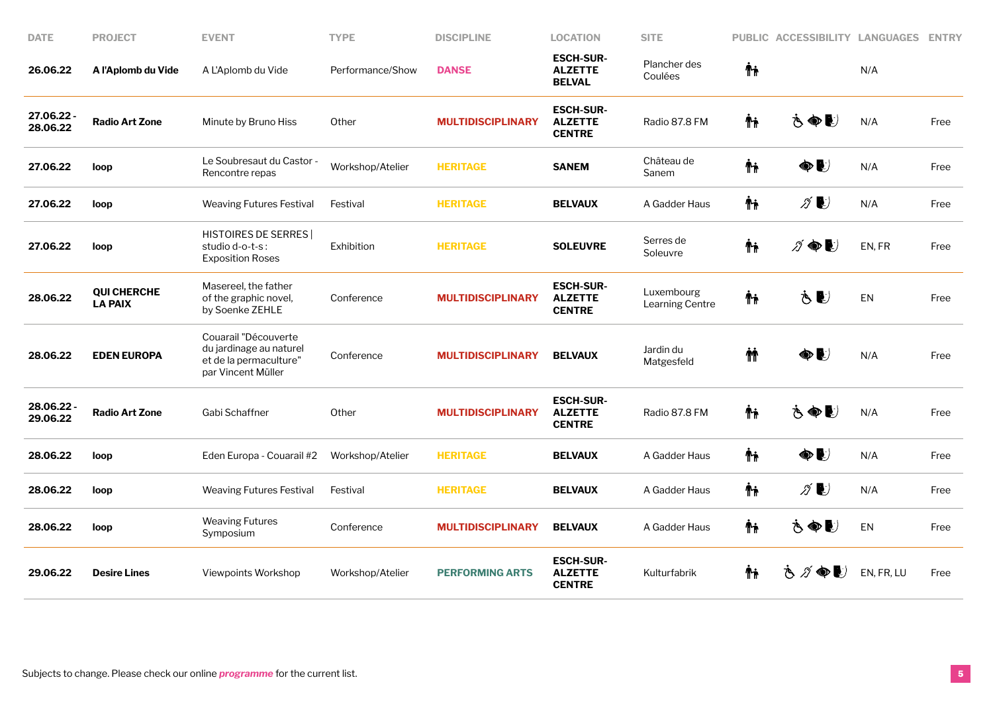| <b>DATE</b>            | <b>PROJECT</b>                       | <b>EVENT</b>                                                                                    | <b>TYPE</b>      | <b>DISCIPLINE</b>        | <b>LOCATION</b>                                     | <b>SITE</b>                   | <b>PUBLIC</b> | <b>ACCESSIBILITY LANGUAGES</b>      |            | <b>ENTRY</b> |
|------------------------|--------------------------------------|-------------------------------------------------------------------------------------------------|------------------|--------------------------|-----------------------------------------------------|-------------------------------|---------------|-------------------------------------|------------|--------------|
| 26.06.22               | A l'Aplomb du Vide                   | A L'Aplomb du Vide                                                                              | Performance/Show | <b>DANSE</b>             | <b>ESCH-SUR-</b><br><b>ALZETTE</b><br><b>BELVAL</b> | Plancher des<br>Coulées       | Ψŗ            |                                     | N/A        |              |
| 27.06.22<br>28.06.22   | <b>Radio Art Zone</b>                | Minute by Bruno Hiss                                                                            | Other            | <b>MULTIDISCIPLINARY</b> | <b>ESCH-SUR-</b><br><b>ALZETTE</b><br><b>CENTRE</b> | Radio 87.8 FM                 | Ϋ́            | さぬじ                                 | N/A        | Free         |
| 27.06.22               | loop                                 | Le Soubresaut du Castor -<br>Rencontre repas                                                    | Workshop/Atelier | <b>HERITAGE</b>          | <b>SANEM</b>                                        | Château de<br>Sanem           | ħ             | $\bullet$                           | N/A        | Free         |
| 27.06.22               | loop                                 | <b>Weaving Futures Festival</b>                                                                 | Festival         | <b>HERITAGE</b>          | <b>BELVAUX</b>                                      | A Gadder Haus                 | Ϋħ            | $\mathscr{Z}$ $\blacktriangleright$ | N/A        | Free         |
| 27.06.22               | loop                                 | <b>HISTOIRES DE SERRES</b><br>studio d-o-t-s:<br><b>Exposition Roses</b>                        | Exhibition       | <b>HERITAGE</b>          | <b>SOLEUVRE</b>                                     | Serres de<br>Soleuvre         | Ψŗ            | $\ni \bullet \bullet$               | EN, FR     | Free         |
| 28.06.22               | <b>QUI CHERCHE</b><br><b>LA PAIX</b> | Masereel, the father<br>of the graphic novel,<br>by Soenke ZEHLE                                | Conference       | <b>MULTIDISCIPLINARY</b> | <b>ESCH-SUR-</b><br><b>ALZETTE</b><br><b>CENTRE</b> | Luxembourg<br>Learning Centre | Ψŗ            | Š€)                                 | EN         | Free         |
| 28.06.22               | <b>EDEN EUROPA</b>                   | Couarail "Découverte<br>du jardinage au naturel<br>et de la permaculture"<br>par Vincent Müller | Conference       | <b>MULTIDISCIPLINARY</b> | <b>BELVAUX</b>                                      | Jardin du<br>Matgesfeld       | ήή.           | $\bullet$                           | N/A        | Free         |
| 28.06.22 -<br>29.06.22 | <b>Radio Art Zone</b>                | Gabi Schaffner                                                                                  | Other            | <b>MULTIDISCIPLINARY</b> | <b>ESCH-SUR-</b><br><b>ALZETTE</b><br><b>CENTRE</b> | Radio 87.8 FM                 | Ψŗ            | さぬし                                 | N/A        | Free         |
| 28.06.22               | loop                                 | Eden Europa - Couarail #2                                                                       | Workshop/Atelier | <b>HERITAGE</b>          | <b>BELVAUX</b>                                      | A Gadder Haus                 | Ψŗ            | $\bullet$                           | N/A        | Free         |
| 28.06.22               | loop                                 | <b>Weaving Futures Festival</b>                                                                 | Festival         | <b>HERITAGE</b>          | <b>BELVAUX</b>                                      | A Gadder Haus                 | Ψŗ            | $\mathscr{D}$ $\blacktriangleright$ | N/A        | Free         |
| 28.06.22               | loop                                 | <b>Weaving Futures</b><br>Symposium                                                             | Conference       | <b>MULTIDISCIPLINARY</b> | <b>BELVAUX</b>                                      | A Gadder Haus                 | Ψŗ            | さぬし                                 | EN         | Free         |
| 29.06.22               | <b>Desire Lines</b>                  | Viewpoints Workshop                                                                             | Workshop/Atelier | <b>PERFORMING ARTS</b>   | <b>ESCH-SUR-</b><br><b>ALZETTE</b><br><b>CENTRE</b> | Kulturfabrik                  | Ϋ́            | さグ●シ                                | EN, FR, LU | Free         |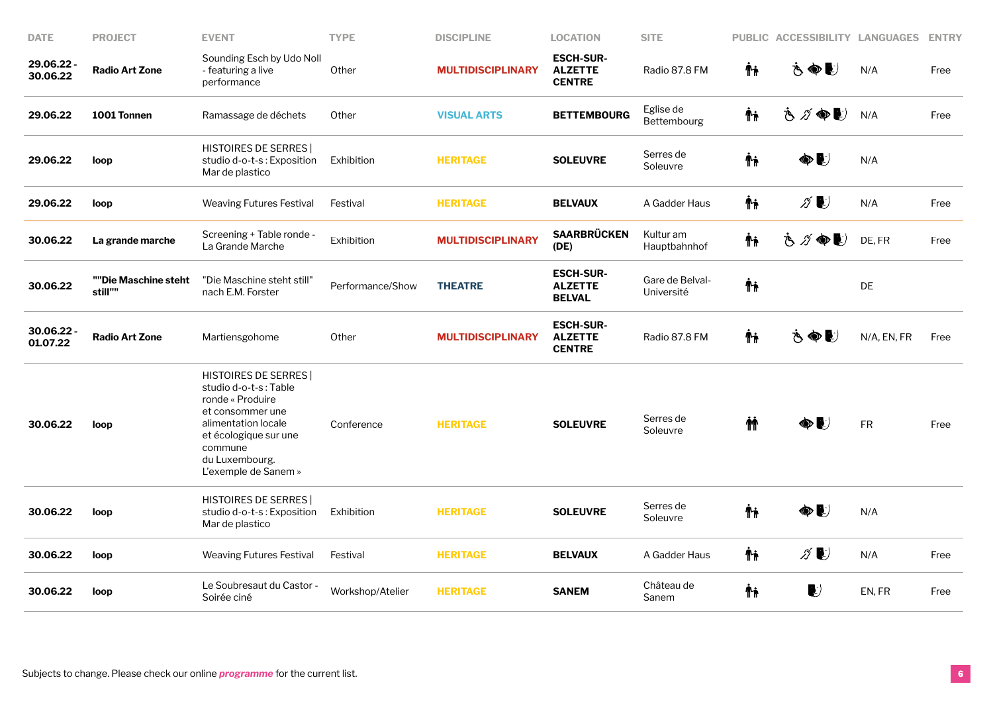| <b>DATE</b>            | <b>PROJECT</b>                  | <b>EVENT</b>                                                                                                                                                                                     | <b>TYPE</b>      | <b>DISCIPLINE</b>        | <b>LOCATION</b>                                     | <b>SITE</b>                   | <b>PUBLIC</b> | <b>ACCESSIBILITY LANGUAGES</b> |             | <b>ENTRY</b> |
|------------------------|---------------------------------|--------------------------------------------------------------------------------------------------------------------------------------------------------------------------------------------------|------------------|--------------------------|-----------------------------------------------------|-------------------------------|---------------|--------------------------------|-------------|--------------|
| 29.06.22<br>30.06.22   | <b>Radio Art Zone</b>           | Sounding Esch by Udo Noll<br>- featuring a live<br>performance                                                                                                                                   | Other            | <b>MULTIDISCIPLINARY</b> | <b>ESCH-SUR-</b><br><b>ALZETTE</b><br><b>CENTRE</b> | Radio 87.8 FM                 | Ψŗ            | もぬじ                            | N/A         | Free         |
| 29.06.22               | 1001 Tonnen                     | Ramassage de déchets                                                                                                                                                                             | Other            | <b>VISUAL ARTS</b>       | <b>BETTEMBOURG</b>                                  | Eglise de<br>Bettembourg      | Ψŗ            | さが●し                           | N/A         | Free         |
| 29.06.22               | loop                            | <b>HISTOIRES DE SERRES</b><br>studio d-o-t-s: Exposition<br>Mar de plastico                                                                                                                      | Exhibition       | <b>HERITAGE</b>          | <b>SOLEUVRE</b>                                     | Serres de<br>Soleuvre         | Ϋ́            | ◈€                             | N/A         |              |
| 29.06.22               | loop                            | Weaving Futures Festival                                                                                                                                                                         | Festival         | <b>HERITAGE</b>          | <b>BELVAUX</b>                                      | A Gadder Haus                 | Ϋħ            | $\mathscr{D}$                  | N/A         | Free         |
| 30.06.22               | La grande marche                | Screening + Table ronde -<br>La Grande Marche                                                                                                                                                    | Exhibition       | <b>MULTIDISCIPLINARY</b> | <b>SAARBRÜCKEN</b><br>(DE)                          | Kultur am<br>Hauptbahnhof     | Ψŗ            | さグ●し                           | DE, FR      | Free         |
| 30.06.22               | ""Die Maschine steht<br>still"" | "Die Maschine steht still"<br>nach E.M. Forster                                                                                                                                                  | Performance/Show | <b>THEATRE</b>           | <b>ESCH-SUR-</b><br><b>ALZETTE</b><br><b>BELVAL</b> | Gare de Belval-<br>Université | Ψŗ            |                                | DE          |              |
| 30.06.22 -<br>01.07.22 | <b>Radio Art Zone</b>           | Martiensgohome                                                                                                                                                                                   | Other            | <b>MULTIDISCIPLINARY</b> | <b>ESCH-SUR-</b><br><b>ALZETTE</b><br><b>CENTRE</b> | Radio 87.8 FM                 | Ϋħ            | もぬじ                            | N/A, EN, FR | Free         |
| 30.06.22               | loop                            | <b>HISTOIRES DE SERRES</b><br>studio d-o-t-s: Table<br>ronde « Produire<br>et consommer une<br>alimentation locale<br>et écologique sur une<br>commune<br>du Luxembourg.<br>L'exemple de Sanem » | Conference       | <b>HERITAGE</b>          | <b>SOLEUVRE</b>                                     | Serres de<br>Soleuvre         | ΜŤ            | ◈₽                             | ${\sf FR}$  | Free         |
| 30.06.22               | loop                            | <b>HISTOIRES DE SERRES</b><br>studio d-o-t-s: Exposition<br>Mar de plastico                                                                                                                      | Exhibition       | <b>HERITAGE</b>          | <b>SOLEUVRE</b>                                     | Serres de<br>Soleuvre         | Ψŗ            | ◈€                             | N/A         |              |
| 30.06.22               | loop                            | Weaving Futures Festival                                                                                                                                                                         | Festival         | <b>HERITAGE</b>          | <b>BELVAUX</b>                                      | A Gadder Haus                 | Ψŗ            | $\mathcal{Z}$                  | N/A         | Free         |
| 30.06.22               | loop                            | Le Soubresaut du Castor -<br>Soirée ciné                                                                                                                                                         | Workshop/Atelier | <b>HERITAGE</b>          | <b>SANEM</b>                                        | Château de<br>Sanem           | Ψŗ            | $\blacktriangleright$          | EN, FR      | Free         |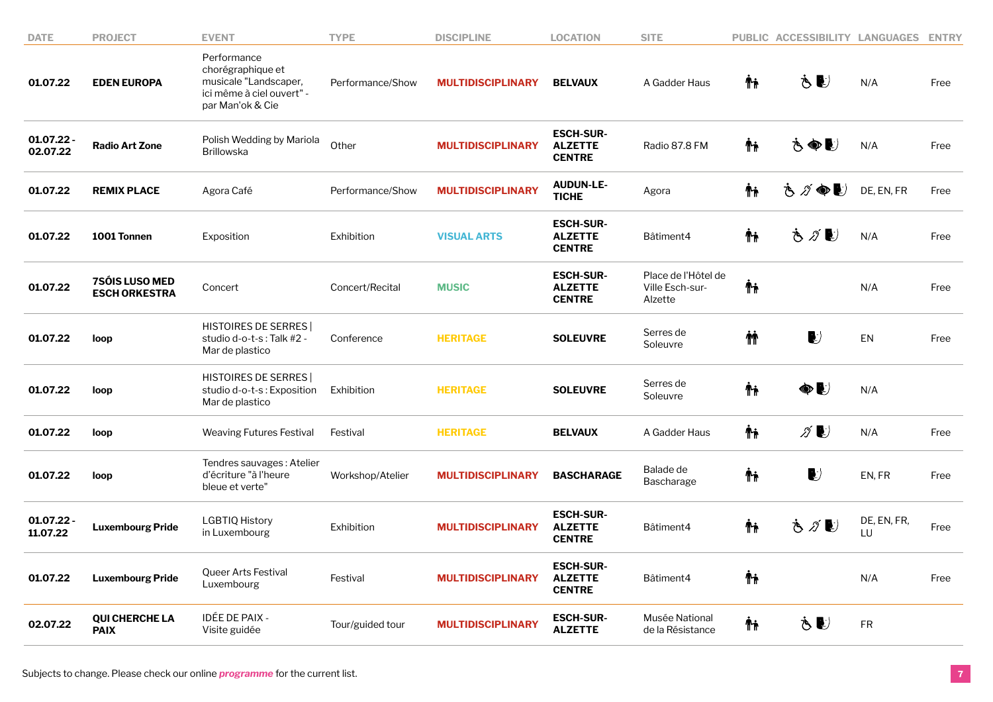| <b>DATE</b>              | <b>PROJECT</b>                         | <b>EVENT</b>                                                                                               | <b>TYPE</b>      | <b>DISCIPLINE</b>        | <b>LOCATION</b>                                     | <b>SITE</b>                                       |     | PUBLIC ACCESSIBILITY LANGUAGES  |                   | <b>ENTRY</b> |
|--------------------------|----------------------------------------|------------------------------------------------------------------------------------------------------------|------------------|--------------------------|-----------------------------------------------------|---------------------------------------------------|-----|---------------------------------|-------------------|--------------|
| 01.07.22                 | <b>EDEN EUROPA</b>                     | Performance<br>chorégraphique et<br>musicale "Landscaper,<br>ici même à ciel ouvert" -<br>par Man'ok & Cie | Performance/Show | <b>MULTIDISCIPLINARY</b> | <b>BELVAUX</b>                                      | A Gadder Haus                                     | Ϋ'n | ŠU)                             | N/A               | Free         |
| $01.07.22 -$<br>02.07.22 | <b>Radio Art Zone</b>                  | Polish Wedding by Mariola<br><b>Brillowska</b>                                                             | Other            | <b>MULTIDISCIPLINARY</b> | <b>ESCH-SUR-</b><br><b>ALZETTE</b><br><b>CENTRE</b> | Radio 87.8 FM                                     | Ψŗ  | さぬし                             | N/A               | Free         |
| 01.07.22                 | <b>REMIX PLACE</b>                     | Agora Café                                                                                                 | Performance/Show | <b>MULTIDISCIPLINARY</b> | <b>AUDUN-LE-</b><br><b>TICHE</b>                    | Agora                                             | Ψŗ  | さづゆし                            | DE, EN, FR        | Free         |
| 01.07.22                 | 1001 Tonnen                            | Exposition                                                                                                 | Exhibition       | <b>VISUAL ARTS</b>       | <b>ESCH-SUR-</b><br><b>ALZETTE</b><br><b>CENTRE</b> | Bâtiment4                                         | Ϋ́  | もグじ                             | N/A               | Free         |
| 01.07.22                 | 7SÓIS LUSO MED<br><b>ESCH ORKESTRA</b> | Concert                                                                                                    | Concert/Recital  | <b>MUSIC</b>             | <b>ESCH-SUR-</b><br><b>ALZETTE</b><br><b>CENTRE</b> | Place de l'Hôtel de<br>Ville Esch-sur-<br>Alzette | Ψŗ  |                                 | N/A               | Free         |
| 01.07.22                 | loop                                   | <b>HISTOIRES DE SERRES</b><br>studio d-o-t-s: Talk #2 -<br>Mar de plastico                                 | Conference       | <b>HERITAGE</b>          | <b>SOLEUVRE</b>                                     | Serres de<br>Soleuvre                             | ΜÌ  | $\ket{\hspace{-0.2cm} \bullet}$ | EN                | Free         |
| 01.07.22                 | loop                                   | <b>HISTOIRES DE SERRES</b><br>studio d-o-t-s: Exposition<br>Mar de plastico                                | Exhibition       | <b>HERITAGE</b>          | <b>SOLEUVRE</b>                                     | Serres de<br>Soleuvre                             | ᡮᡝ  | ●■                              | N/A               |              |
| 01.07.22                 | loop                                   | <b>Weaving Futures Festival</b>                                                                            | Festival         | <b>HERITAGE</b>          | <b>BELVAUX</b>                                      | A Gadder Haus                                     | Ϋħ  | ∥∥                              | N/A               | Free         |
| 01.07.22                 | loop                                   | Tendres sauvages: Atelier<br>d'écriture "à l'heure<br>bleue et verte"                                      | Workshop/Atelier | <b>MULTIDISCIPLINARY</b> | <b>BASCHARAGE</b>                                   | Balade de<br>Bascharage                           | Ψŗ  | $\blacktriangleright$           | EN, FR            | Free         |
| 01.07.22 -<br>11.07.22   | <b>Luxembourg Pride</b>                | <b>LGBTIQ History</b><br>in Luxembourg                                                                     | Exhibition       | <b>MULTIDISCIPLINARY</b> | <b>ESCH-SUR-</b><br><b>ALZETTE</b><br><b>CENTRE</b> | Bâtiment4                                         | Ψŗ  | もグじ                             | DE, EN, FR,<br>LU | Free         |
| 01.07.22                 | <b>Luxembourg Pride</b>                | Queer Arts Festival<br>Luxembourg                                                                          | Festival         | <b>MULTIDISCIPLINARY</b> | <b>ESCH-SUR-</b><br><b>ALZETTE</b><br><b>CENTRE</b> | Bâtiment4                                         | Ψŗ  |                                 | N/A               | Free         |
| 02.07.22                 | <b>QUI CHERCHE LA</b><br><b>PAIX</b>   | IDÉE DE PAIX -<br>Visite guidée                                                                            | Tour/guided tour | <b>MULTIDISCIPLINARY</b> | <b>ESCH-SUR-</b><br><b>ALZETTE</b>                  | Musée National<br>de la Résistance                | Ϋ'n | Š€)                             | <b>FR</b>         |              |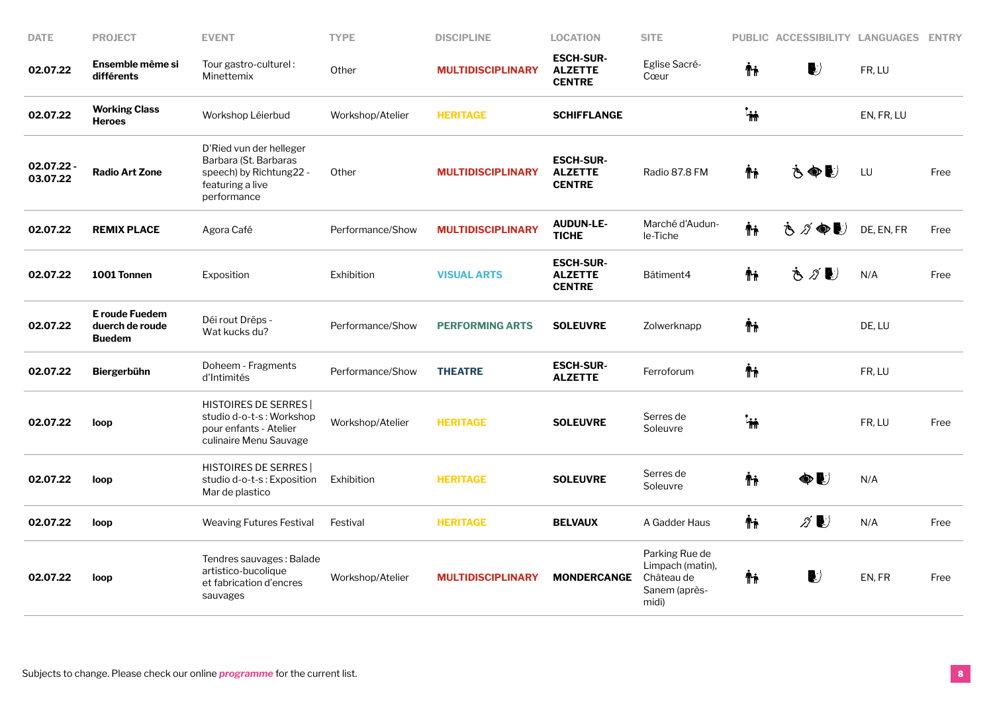| <b>DATE</b>            | <b>PROJECT</b>                                     | <b>EVENT</b>                                                                                                   | <b>TYPE</b>      | <b>DISCIPLINE</b>        | <b>LOCATION</b>                                     | <b>SITE</b>                                                                |              | PUBLIC ACCESSIBILITY LANGUAGES |            | <b>ENTRY</b> |
|------------------------|----------------------------------------------------|----------------------------------------------------------------------------------------------------------------|------------------|--------------------------|-----------------------------------------------------|----------------------------------------------------------------------------|--------------|--------------------------------|------------|--------------|
| 02.07.22               | Ensemble même si<br>différents                     | Tour gastro-culturel:<br>Minettemix                                                                            | Other            | <b>MULTIDISCIPLINARY</b> | <b>ESCH-SUR-</b><br><b>ALZETTE</b><br><b>CENTRE</b> | Eglise Sacré-<br>Cœur                                                      | Ψŗ           | $\blacktriangleright$          | FR, LU     |              |
| 02.07.22               | <b>Working Class</b><br><b>Heroes</b>              | Workshop Léierbud                                                                                              | Workshop/Atelier | <b>HERITAGE</b>          | <b>SCHIFFLANGE</b>                                  |                                                                            | $\mathbf{h}$ |                                | EN, FR, LU |              |
| 02.07.22 -<br>03.07.22 | <b>Radio Art Zone</b>                              | D'Ried vun der helleger<br>Barbara (St. Barbaras<br>speech) by Richtung22 -<br>featuring a live<br>performance | Other            | <b>MULTIDISCIPLINARY</b> | <b>ESCH-SUR-</b><br><b>ALZETTE</b><br><b>CENTRE</b> | Radio 87.8 FM                                                              | Ϋħ           | もぬけ                            | LU         | Free         |
| 02.07.22               | <b>REMIX PLACE</b>                                 | Agora Café                                                                                                     | Performance/Show | <b>MULTIDISCIPLINARY</b> | <b>AUDUN-LE-</b><br><b>TICHE</b>                    | Marché d'Audun-<br>le-Tiche                                                | <b>Τη</b>    | きズ<br>$\bullet$                | DE, EN, FR | Free         |
| 02.07.22               | 1001 Tonnen                                        | Exposition                                                                                                     | Exhibition       | <b>VISUAL ARTS</b>       | <b>ESCH-SUR-</b><br><b>ALZETTE</b><br><b>CENTRE</b> | Bâtiment4                                                                  | Ϋ'n          | も∥し                            | N/A        | Free         |
| 02.07.22               | E roude Fuedem<br>duerch de roude<br><b>Buedem</b> | Déi rout Drëps -<br>Wat kucks du?                                                                              | Performance/Show | <b>PERFORMING ARTS</b>   | <b>SOLEUVRE</b>                                     | Zolwerknapp                                                                | Ϋ'n          |                                | DE, LU     |              |
| 02.07.22               | Biergerbühn                                        | Doheem - Fragments<br>d'Intimités                                                                              | Performance/Show | <b>THEATRE</b>           | <b>ESCH-SUR-</b><br><b>ALZETTE</b>                  | Ferroforum                                                                 | Ψŗ           |                                | FR, LU     |              |
| 02.07.22               | loop                                               | <b>HISTOIRES DE SERRES</b><br>studio d-o-t-s: Workshop<br>pour enfants - Atelier<br>culinaire Menu Sauvage     | Workshop/Atelier | <b>HERITAGE</b>          | <b>SOLEUVRE</b>                                     | Serres de<br>Soleuvre                                                      | $\mathbf{m}$ |                                | FR, LU     | Free         |
| 02.07.22               | loop                                               | <b>HISTOIRES DE SERRES</b><br>studio d-o-t-s: Exposition<br>Mar de plastico                                    | Exhibition       | <b>HERITAGE</b>          | <b>SOLEUVRE</b>                                     | Serres de<br>Soleuvre                                                      | Ψŧ           | $\bullet$                      | N/A        |              |
| 02.07.22               | loop                                               | <b>Weaving Futures Festival</b>                                                                                | Festival         | <b>HERITAGE</b>          | <b>BELVAUX</b>                                      | A Gadder Haus                                                              | Ψŗ           | $\mathscr{D}$                  | N/A        | Free         |
| 02.07.22               | loop                                               | Tendres sauvages: Balade<br>artistico-bucolique<br>et fabrication d'encres<br>sauvages                         | Workshop/Atelier | <b>MULTIDISCIPLINARY</b> | <b>MONDERCANGE</b>                                  | Parking Rue de<br>Limpach (matin),<br>Château de<br>Sanem (après-<br>midi) | Ψŗ           | $\blacktriangleright$          | EN, FR     | Free         |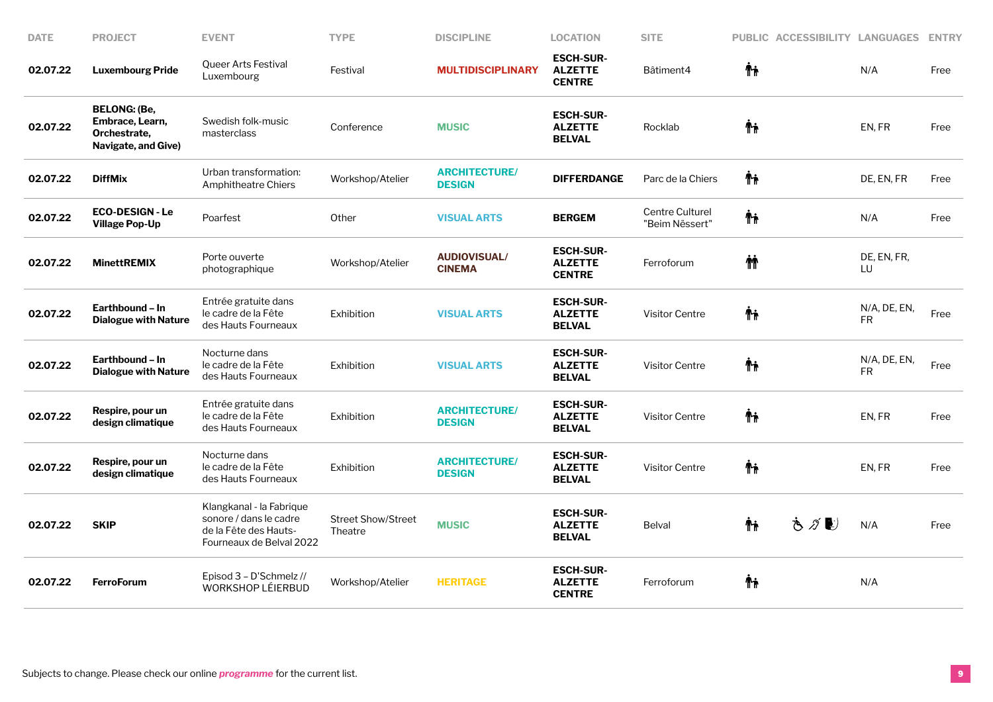| <b>DATE</b> | <b>PROJECT</b>                                                                | <b>EVENT</b>                                                                                            | <b>TYPE</b>                          | <b>DISCIPLINE</b>                     | <b>LOCATION</b>                                     | <b>SITE</b>                       |     | PUBLIC ACCESSIBILITY LANGUAGES |                           | <b>ENTRY</b> |
|-------------|-------------------------------------------------------------------------------|---------------------------------------------------------------------------------------------------------|--------------------------------------|---------------------------------------|-----------------------------------------------------|-----------------------------------|-----|--------------------------------|---------------------------|--------------|
| 02.07.22    | <b>Luxembourg Pride</b>                                                       | Queer Arts Festival<br>Luxembourg                                                                       | Festival                             | <b>MULTIDISCIPLINARY</b>              | <b>ESCH-SUR-</b><br><b>ALZETTE</b><br><b>CENTRE</b> | Bâtiment4                         | Ψŗ  |                                | N/A                       | Free         |
| 02.07.22    | <b>BELONG: (Be,</b><br>Embrace, Learn,<br>Orchestrate,<br>Navigate, and Give) | Swedish folk-music<br>masterclass                                                                       | Conference                           | <b>MUSIC</b>                          | <b>ESCH-SUR-</b><br><b>ALZETTE</b><br><b>BELVAL</b> | Rocklab                           | Ϋ'n |                                | EN, FR                    | Free         |
| 02.07.22    | <b>DiffMix</b>                                                                | Urban transformation:<br><b>Amphitheatre Chiers</b>                                                     | Workshop/Atelier                     | <b>ARCHITECTURE/</b><br><b>DESIGN</b> | <b>DIFFERDANGE</b>                                  | Parc de la Chiers                 | Ťi  |                                | DE, EN, FR                | Free         |
| 02.07.22    | <b>ECO-DESIGN - Le</b><br><b>Village Pop-Up</b>                               | Poarfest                                                                                                | Other                                | <b>VISUAL ARTS</b>                    | <b>BERGEM</b>                                       | Centre Culturel<br>"Beim Nëssert" | ᡮᡝ  |                                | N/A                       | Free         |
| 02.07.22    | <b>MinettREMIX</b>                                                            | Porte ouverte<br>photographique                                                                         | Workshop/Atelier                     | <b>AUDIOVISUAL/</b><br><b>CINEMA</b>  | <b>ESCH-SUR-</b><br><b>ALZETTE</b><br><b>CENTRE</b> | Ferroforum                        | ΜŤ  |                                | DE, EN, FR,<br>LU         |              |
| 02.07.22    | Earthbound - In<br><b>Dialogue with Nature</b>                                | Entrée gratuite dans<br>le cadre de la Fête<br>des Hauts Fourneaux                                      | Exhibition                           | <b>VISUAL ARTS</b>                    | <b>ESCH-SUR-</b><br><b>ALZETTE</b><br><b>BELVAL</b> | <b>Visitor Centre</b>             | Ψŗ  |                                | N/A, DE, EN,<br><b>FR</b> | Free         |
| 02.07.22    | Earthbound - In<br><b>Dialogue with Nature</b>                                | Nocturne dans<br>le cadre de la Fête<br>des Hauts Fourneaux                                             | Exhibition                           | <b>VISUAL ARTS</b>                    | <b>ESCH-SUR-</b><br><b>ALZETTE</b><br><b>BELVAL</b> | <b>Visitor Centre</b>             | Ťi  |                                | N/A, DE, EN,<br><b>FR</b> | Free         |
| 02.07.22    | Respire, pour un<br>design climatique                                         | Entrée gratuite dans<br>le cadre de la Fête<br>des Hauts Fourneaux                                      | Exhibition                           | <b>ARCHITECTURE/</b><br><b>DESIGN</b> | <b>ESCH-SUR-</b><br><b>ALZETTE</b><br><b>BELVAL</b> | <b>Visitor Centre</b>             | Ψŗ  |                                | EN, FR                    | Free         |
| 02.07.22    | Respire, pour un<br>design climatique                                         | Nocturne dans<br>le cadre de la Fête<br>des Hauts Fourneaux                                             | Exhibition                           | <b>ARCHITECTURE/</b><br><b>DESIGN</b> | <b>ESCH-SUR-</b><br><b>ALZETTE</b><br><b>BELVAL</b> | <b>Visitor Centre</b>             | Ψŗ  |                                | EN, FR                    | Free         |
| 02.07.22    | <b>SKIP</b>                                                                   | Klangkanal - la Fabrique<br>sonore / dans le cadre<br>de la Fête des Hauts-<br>Fourneaux de Belval 2022 | <b>Street Show/Street</b><br>Theatre | <b>MUSIC</b>                          | <b>ESCH-SUR-</b><br><b>ALZETTE</b><br><b>BELVAL</b> | <b>Belval</b>                     | Ϋ́  | さがむ                            | N/A                       | Free         |
| 02.07.22    | <b>FerroForum</b>                                                             | Episod 3 - D'Schmelz //<br>WORKSHOP LÉIERBUD                                                            | Workshop/Atelier                     | <b>HERITAGE</b>                       | <b>ESCH-SUR-</b><br><b>ALZETTE</b><br><b>CENTRE</b> | Ferroforum                        | Ϋħ  |                                | N/A                       |              |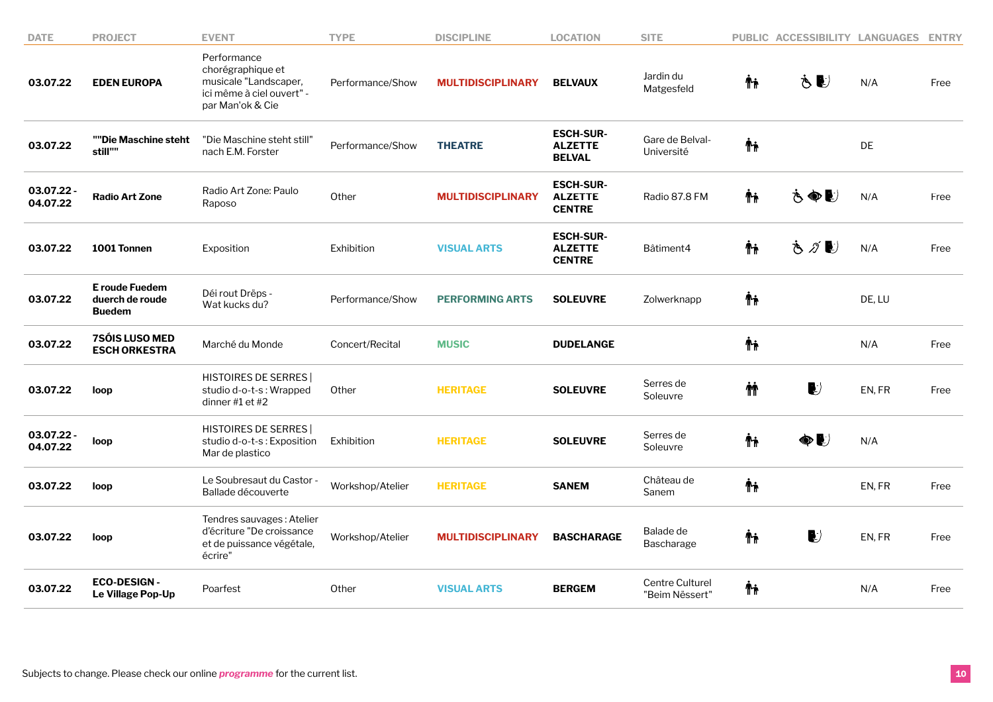| <b>DATE</b>            | <b>PROJECT</b>                                     | <b>EVENT</b>                                                                                               | <b>TYPE</b>      | <b>DISCIPLINE</b>        | <b>LOCATION</b>                                     | <b>SITE</b>                       |          | PUBLIC ACCESSIBILITY LANGUAGES  |        | <b>ENTRY</b> |
|------------------------|----------------------------------------------------|------------------------------------------------------------------------------------------------------------|------------------|--------------------------|-----------------------------------------------------|-----------------------------------|----------|---------------------------------|--------|--------------|
| 03.07.22               | <b>EDEN EUROPA</b>                                 | Performance<br>chorégraphique et<br>musicale "Landscaper,<br>ici même à ciel ouvert" -<br>par Man'ok & Cie | Performance/Show | <b>MULTIDISCIPLINARY</b> | <b>BELVAUX</b>                                      | Jardin du<br>Matgesfeld           | Ϋħ       | もし                              | N/A    | Free         |
| 03.07.22               | ""Die Maschine steht<br>still""                    | "Die Maschine steht still'<br>nach E.M. Forster                                                            | Performance/Show | <b>THEATRE</b>           | <b>ESCH-SUR-</b><br><b>ALZETTE</b><br><b>BELVAL</b> | Gare de Belval-<br>Université     | Ψŗ       |                                 | DE     |              |
| 03.07.22 -<br>04.07.22 | <b>Radio Art Zone</b>                              | Radio Art Zone: Paulo<br>Raposo                                                                            | Other            | <b>MULTIDISCIPLINARY</b> | <b>ESCH-SUR-</b><br><b>ALZETTE</b><br><b>CENTRE</b> | Radio 87.8 FM                     | Ϋħ       | もぬじ                             | N/A    | Free         |
| 03.07.22               | 1001 Tonnen                                        | Exposition                                                                                                 | Exhibition       | <b>VISUAL ARTS</b>       | <b>ESCH-SUR-</b><br><b>ALZETTE</b><br><b>CENTRE</b> | Bâtiment4                         | Ψŗ       | もグじ                             | N/A    | Free         |
| 03.07.22               | E roude Fuedem<br>duerch de roude<br><b>Buedem</b> | Déi rout Drëps -<br>Wat kucks du?                                                                          | Performance/Show | <b>PERFORMING ARTS</b>   | <b>SOLEUVRE</b>                                     | Zolwerknapp                       | Ψŗ       |                                 | DE, LU |              |
| 03.07.22               | 7SÓIS LUSO MED<br><b>ESCH ORKESTRA</b>             | Marché du Monde                                                                                            | Concert/Recital  | <b>MUSIC</b>             | <b>DUDELANGE</b>                                    |                                   | Ψŗ       |                                 | N/A    | Free         |
| 03.07.22               | loop                                               | <b>HISTOIRES DE SERRES</b><br>studio d-o-t-s: Wrapped<br>dinner #1 et #2                                   | Other            | <b>HERITAGE</b>          | <b>SOLEUVRE</b>                                     | Serres de<br>Soleuvre             | <b>M</b> | $\blacktriangleright$           | EN, FR | Free         |
| 03.07.22 -<br>04.07.22 | loop                                               | <b>HISTOIRES DE SERRES</b><br>studio d-o-t-s: Exposition<br>Mar de plastico                                | Exhibition       | <b>HERITAGE</b>          | <b>SOLEUVRE</b>                                     | Serres de<br>Soleuvre             | Ψŗ       | ●■                              | N/A    |              |
| 03.07.22               | loop                                               | Le Soubresaut du Castor -<br>Ballade découverte                                                            | Workshop/Atelier | <b>HERITAGE</b>          | <b>SANEM</b>                                        | Château de<br>Sanem               | ᡮ₦       |                                 | EN, FR | Free         |
| 03.07.22               | loop                                               | Tendres sauvages: Atelier<br>d'écriture "De croissance<br>et de puissance végétale,<br>écrire"             | Workshop/Atelier | <b>MULTIDISCIPLINARY</b> | <b>BASCHARAGE</b>                                   | Balade de<br><b>Bascharage</b>    | Ťŧ       | $\ket{\hspace{-0.2cm} \bullet}$ | EN, FR | Free         |
| 03.07.22               | <b>ECO-DESIGN-</b><br>Le Village Pop-Up            | Poarfest                                                                                                   | Other            | <b>VISUAL ARTS</b>       | <b>BERGEM</b>                                       | Centre Culturel<br>"Beim Nëssert" | Ψŗ       |                                 | N/A    | Free         |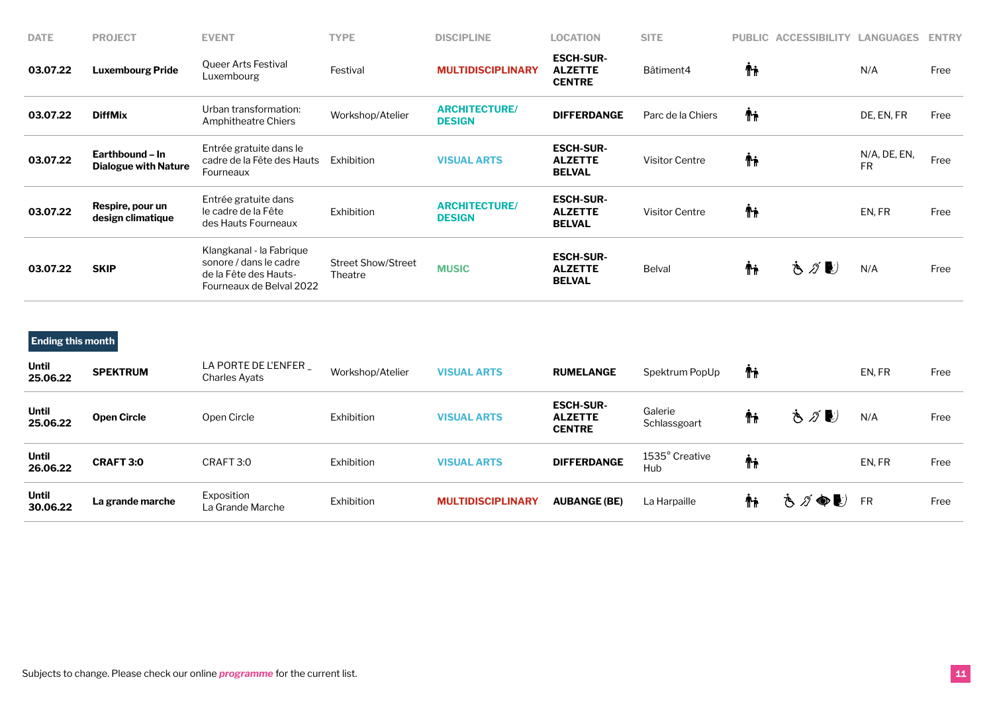| <b>DATE</b> | <b>PROJECT</b>                                 | <b>EVENT</b>                                                                                            | <b>TYPE</b>                          | <b>DISCIPLINE</b>                     | <b>LOCATION</b>                                     | <b>SITE</b>       |     | PUBLIC ACCESSIBILITY | <b>LANGUAGES</b>          | <b>ENTRY</b> |
|-------------|------------------------------------------------|---------------------------------------------------------------------------------------------------------|--------------------------------------|---------------------------------------|-----------------------------------------------------|-------------------|-----|----------------------|---------------------------|--------------|
| 03.07.22    | <b>Luxembourg Pride</b>                        | Queer Arts Festival<br>Luxembourg                                                                       | Festival                             | <b>MULTIDISCIPLINARY</b>              | <b>ESCH-SUR-</b><br><b>ALZETTE</b><br><b>CENTRE</b> | Bâtiment4         | Ψŗ  |                      | N/A                       | Free         |
| 03.07.22    | <b>DiffMix</b>                                 | Urban transformation:<br><b>Amphitheatre Chiers</b>                                                     | Workshop/Atelier                     | <b>ARCHITECTURE/</b><br><b>DESIGN</b> | <b>DIFFERDANGE</b>                                  | Parc de la Chiers | Ϋ'n |                      | DE, EN, FR                | Free         |
| 03.07.22    | Earthbound – In<br><b>Dialogue with Nature</b> | Entrée gratuite dans le<br>cadre de la Fête des Hauts<br>Fourneaux                                      | Exhibition                           | <b>VISUAL ARTS</b>                    | <b>ESCH-SUR-</b><br><b>ALZETTE</b><br><b>BELVAL</b> | Visitor Centre    | Ψŗ  |                      | N/A, DE, EN,<br><b>FR</b> | Free         |
| 03.07.22    | Respire, pour un<br>design climatique          | Entrée gratuite dans<br>le cadre de la Fête<br>des Hauts Fourneaux                                      | <b>Exhibition</b>                    | <b>ARCHITECTURE/</b><br><b>DESIGN</b> | <b>ESCH-SUR-</b><br><b>ALZETTE</b><br><b>BELVAL</b> | Visitor Centre    | Ψŗ  |                      | EN, FR                    | Free         |
| 03.07.22    | <b>SKIP</b>                                    | Klangkanal - la Fabrique<br>sonore / dans le cadre<br>de la Fête des Hauts-<br>Fourneaux de Belval 2022 | <b>Street Show/Street</b><br>Theatre | <b>MUSIC</b>                          | <b>ESCH-SUR-</b><br><b>ALZETTE</b><br><b>BELVAL</b> | <b>Belval</b>     | Ťi  | もグじ                  | N/A                       | Free         |

**Ending this month**

| <b>Until</b><br>25.06.22 | <b>SPEKTRUM</b>    | LA PORTE DE L'ENFER<br>Charles Ayats | Workshop/Atelier | <b>VISUAL ARTS</b>       | <b>RUMELANGE</b>                                    | Spektrum PopUp          | ŤŤ |      | EN, FR    | Free |
|--------------------------|--------------------|--------------------------------------|------------------|--------------------------|-----------------------------------------------------|-------------------------|----|------|-----------|------|
| Until<br>25.06.22        | <b>Open Circle</b> | Open Circle                          | Exhibition       | <b>VISUAL ARTS</b>       | <b>ESCH-SUR-</b><br><b>ALZETTE</b><br><b>CENTRE</b> | Galerie<br>Schlassgoart | ŤŤ | さがじ  | N/A       | Free |
| <b>Until</b><br>26.06.22 | <b>CRAFT 3:0</b>   | CRAFT 3:0                            | Exhibition       | <b>VISUAL ARTS</b>       | <b>DIFFERDANGE</b>                                  | 1535° Creative<br>Hub   | Ψŗ |      | EN, FR    | Free |
| <b>Until</b><br>30.06.22 | La grande marche   | Exposition<br>La Grande Marche       | Exhibition       | <b>MULTIDISCIPLINARY</b> | <b>AUBANGE (BE)</b>                                 | La Harpaille            | ŤŤ | さグ●シ | <b>FR</b> | Free |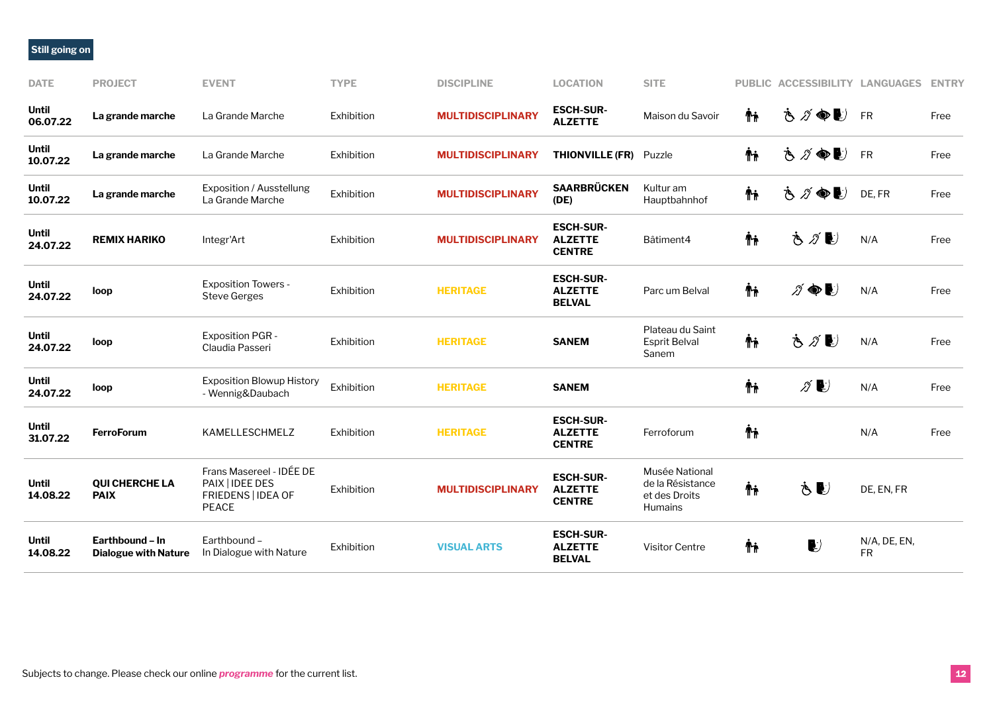## **Still going on**

| <b>DATE</b>              | <b>PROJECT</b>                                 | <b>EVENT</b>                                                                      | <b>TYPE</b> | <b>DISCIPLINE</b>        | <b>LOCATION</b>                                     | <b>SITE</b>                                                           |    | PUBLIC ACCESSIBILITY LANGUAGES           |                           | <b>ENTRY</b> |
|--------------------------|------------------------------------------------|-----------------------------------------------------------------------------------|-------------|--------------------------|-----------------------------------------------------|-----------------------------------------------------------------------|----|------------------------------------------|---------------------------|--------------|
| <b>Until</b><br>06.07.22 | La grande marche                               | La Grande Marche                                                                  | Exhibition  | <b>MULTIDISCIPLINARY</b> | <b>ESCH-SUR-</b><br><b>ALZETTE</b>                  | Maison du Savoir                                                      | Ϋħ | さづゆし                                     | FR                        | Free         |
| <b>Until</b><br>10.07.22 | La grande marche                               | La Grande Marche                                                                  | Exhibition  | <b>MULTIDISCIPLINARY</b> | <b>THIONVILLE (FR)</b> Puzzle                       |                                                                       | Ψŗ | さづぬし                                     | FR                        | Free         |
| <b>Until</b><br>10.07.22 | La grande marche                               | Exposition / Ausstellung<br>La Grande Marche                                      | Exhibition  | <b>MULTIDISCIPLINARY</b> | <b>SAARBRÜCKEN</b><br>(DE)                          | Kultur am<br>Hauptbahnhof                                             | ħ  | さグ●し                                     | DE, FR                    | Free         |
| <b>Until</b><br>24.07.22 | <b>REMIX HARIKO</b>                            | Integr'Art                                                                        | Exhibition  | <b>MULTIDISCIPLINARY</b> | <b>ESCH-SUR-</b><br><b>ALZETTE</b><br><b>CENTRE</b> | Bâtiment4                                                             | Ψŗ | Ġ<br>$\mathscr{Z}$ $\blacktriangleright$ | N/A                       | Free         |
| <b>Until</b><br>24.07.22 | loop                                           | <b>Exposition Towers -</b><br><b>Steve Gerges</b>                                 | Exhibition  | <b>HERITAGE</b>          | <b>ESCH-SUR-</b><br><b>ALZETTE</b><br><b>BELVAL</b> | Parc um Belval                                                        | ħ  | グゆじ                                      | N/A                       | Free         |
| <b>Until</b><br>24.07.22 | loop                                           | <b>Exposition PGR -</b><br>Claudia Passeri                                        | Exhibition  | <b>HERITAGE</b>          | <b>SANEM</b>                                        | Plateau du Saint<br><b>Esprit Belval</b><br>Sanem                     | Ϋ́ | もグじ                                      | N/A                       | Free         |
| <b>Until</b><br>24.07.22 | loop                                           | <b>Exposition Blowup History</b><br>- Wennig&Daubach                              | Exhibition  | <b>HERITAGE</b>          | <b>SANEM</b>                                        |                                                                       | ħ  | $\mathscr{D}$ $\blacktriangleright$      | N/A                       | Free         |
| <b>Until</b><br>31.07.22 | <b>FerroForum</b>                              | KAMELLESCHMELZ                                                                    | Exhibition  | <b>HERITAGE</b>          | <b>ESCH-SUR-</b><br><b>ALZETTE</b><br><b>CENTRE</b> | Ferroforum                                                            | Ψŗ |                                          | N/A                       | Free         |
| <b>Until</b><br>14.08.22 | <b>QUI CHERCHE LA</b><br><b>PAIX</b>           | Frans Masereel - IDÉE DE<br>PAIX   IDEE DES<br>FRIEDENS   IDEA OF<br><b>PEACE</b> | Exhibition  | <b>MULTIDISCIPLINARY</b> | <b>ESCH-SUR-</b><br><b>ALZETTE</b><br><b>CENTRE</b> | Musée National<br>de la Résistance<br>et des Droits<br><b>Humains</b> | Ψŗ | ÒU                                       | DE, EN, FR                |              |
| <b>Until</b><br>14.08.22 | Earthbound - In<br><b>Dialogue with Nature</b> | Earthbound -<br>In Dialogue with Nature                                           | Exhibition  | <b>VISUAL ARTS</b>       | <b>ESCH-SUR-</b><br><b>ALZETTE</b><br><b>BELVAL</b> | <b>Visitor Centre</b>                                                 | Ψŗ | $\blacktriangleright$                    | N/A, DE, EN,<br><b>FR</b> |              |
|                          |                                                |                                                                                   |             |                          |                                                     |                                                                       |    |                                          |                           |              |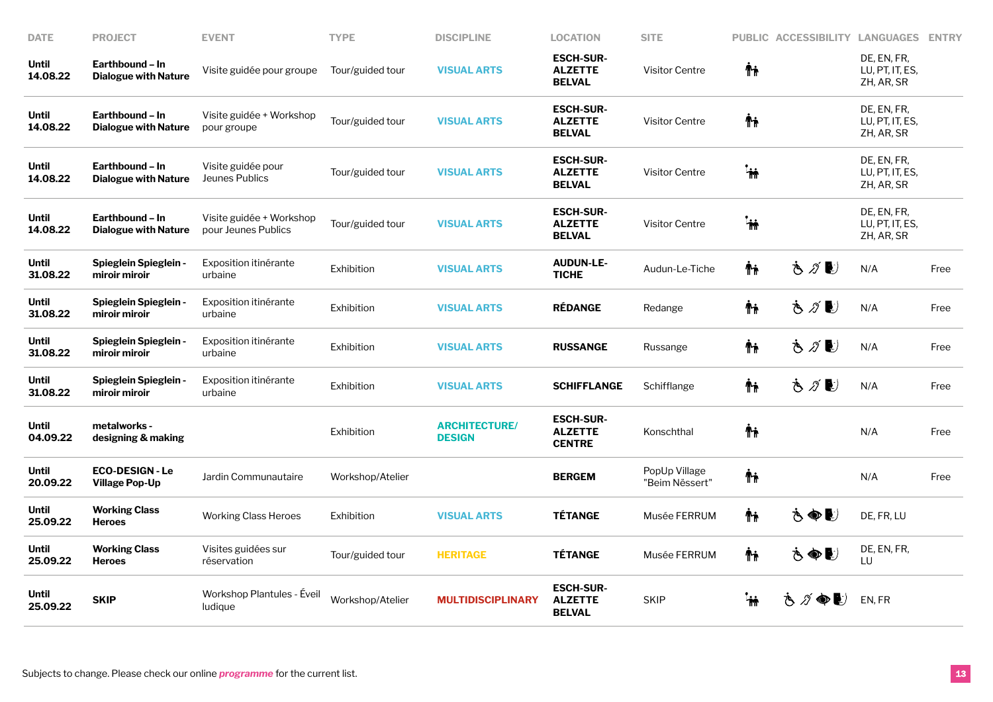| <b>DATE</b>              | <b>PROJECT</b>                                  | <b>EVENT</b>                                    | <b>TYPE</b>      | <b>DISCIPLINE</b>                     | <b>LOCATION</b>                                     | <b>SITE</b>                     |           | PUBLIC ACCESSIBILITY LANGUAGES |                                              | <b>ENTRY</b> |
|--------------------------|-------------------------------------------------|-------------------------------------------------|------------------|---------------------------------------|-----------------------------------------------------|---------------------------------|-----------|--------------------------------|----------------------------------------------|--------------|
| <b>Until</b><br>14.08.22 | Earthbound - In<br><b>Dialogue with Nature</b>  | Visite guidée pour groupe                       | Tour/guided tour | <b>VISUAL ARTS</b>                    | <b>ESCH-SUR-</b><br><b>ALZETTE</b><br><b>BELVAL</b> | <b>Visitor Centre</b>           | Ϋ'n       |                                | DE, EN, FR,<br>LU, PT, IT, ES,<br>ZH, AR, SR |              |
| <b>Until</b><br>14.08.22 | Earthbound - In<br><b>Dialogue with Nature</b>  | Visite guidée + Workshop<br>pour groupe         | Tour/guided tour | <b>VISUAL ARTS</b>                    | <b>ESCH-SUR-</b><br><b>ALZETTE</b><br><b>BELVAL</b> | <b>Visitor Centre</b>           | Ψŗ        |                                | DE, EN, FR,<br>LU, PT, IT, ES,<br>ZH, AR, SR |              |
| <b>Until</b><br>14.08.22 | Earthbound - In<br><b>Dialogue with Nature</b>  | Visite guidée pour<br>Jeunes Publics            | Tour/guided tour | <b>VISUAL ARTS</b>                    | <b>ESCH-SUR-</b><br><b>ALZETTE</b><br><b>BELVAL</b> | <b>Visitor Centre</b>           | .<br>Tir  |                                | DE, EN, FR,<br>LU, PT, IT, ES,<br>ZH, AR, SR |              |
| <b>Until</b><br>14.08.22 | Earthbound - In<br><b>Dialogue with Nature</b>  | Visite guidée + Workshop<br>pour Jeunes Publics | Tour/guided tour | <b>VISUAL ARTS</b>                    | <b>ESCH-SUR-</b><br><b>ALZETTE</b><br><b>BELVAL</b> | <b>Visitor Centre</b>           | <b>in</b> |                                | DE, EN, FR,<br>LU, PT, IT, ES,<br>ZH, AR, SR |              |
| <b>Until</b><br>31.08.22 | <b>Spieglein Spieglein -</b><br>miroir miroir   | Exposition itinérante<br>urbaine                | Exhibition       | <b>VISUAL ARTS</b>                    | <b>AUDUN-LE-</b><br><b>TICHE</b>                    | Audun-Le-Tiche                  | Ϋ'n       | もグじ                            | N/A                                          | Free         |
| <b>Until</b><br>31.08.22 | <b>Spieglein Spieglein -</b><br>miroir miroir   | Exposition itinérante<br>urbaine                | Exhibition       | <b>VISUAL ARTS</b>                    | <b>RÉDANGE</b>                                      | Redange                         | Ψŗ        | さがじ                            | N/A                                          | Free         |
| <b>Until</b><br>31.08.22 | <b>Spieglein Spieglein -</b><br>miroir miroir   | Exposition itinérante<br>urbaine                | Exhibition       | <b>VISUAL ARTS</b>                    | <b>RUSSANGE</b>                                     | Russange                        | ᡮᡝ        | もグじ                            | N/A                                          | Free         |
| <b>Until</b><br>31.08.22 | <b>Spieglein Spieglein -</b><br>miroir miroir   | Exposition itinérante<br>urbaine                | Exhibition       | <b>VISUAL ARTS</b>                    | <b>SCHIFFLANGE</b>                                  | Schifflange                     | Ψŗ        | もグじ                            | N/A                                          | Free         |
| <b>Until</b><br>04.09.22 | metalworks -<br>designing & making              |                                                 | Exhibition       | <b>ARCHITECTURE/</b><br><b>DESIGN</b> | <b>ESCH-SUR-</b><br><b>ALZETTE</b><br><b>CENTRE</b> | Konschthal                      | Ψŗ        |                                | N/A                                          | Free         |
| <b>Until</b><br>20.09.22 | <b>ECO-DESIGN - Le</b><br><b>Village Pop-Up</b> | Jardin Communautaire                            | Workshop/Atelier |                                       | <b>BERGEM</b>                                       | PopUp Village<br>"Beim Nëssert" | Ψŗ        |                                | N/A                                          | Free         |
| Until<br>25.09.22        | <b>Working Class</b><br><b>Heroes</b>           | <b>Working Class Heroes</b>                     | Exhibition       | <b>VISUAL ARTS</b>                    | <b>TÉTANGE</b>                                      | Musée FERRUM                    | Ψŗ        | もぬじ                            | DE, FR, LU                                   |              |
| <b>Until</b><br>25.09.22 | <b>Working Class</b><br><b>Heroes</b>           | Visites guidées sur<br>réservation              | Tour/guided tour | <b>HERITAGE</b>                       | <b>TÉTANGE</b>                                      | Musée FERRUM                    | Ψŗ        | さぬじ                            | DE, EN, FR,<br>$\overline{1}$                |              |
| Until<br>25.09.22        | <b>SKIP</b>                                     | Workshop Plantules - Eveil<br>ludique           | Workshop/Atelier | <b>MULTIDISCIPLINARY</b>              | <b>ESCH-SUR-</b><br><b>ALZETTE</b><br><b>BELVAL</b> | <b>SKIP</b>                     | ٠.        | さづゆし                           | EN, FR                                       |              |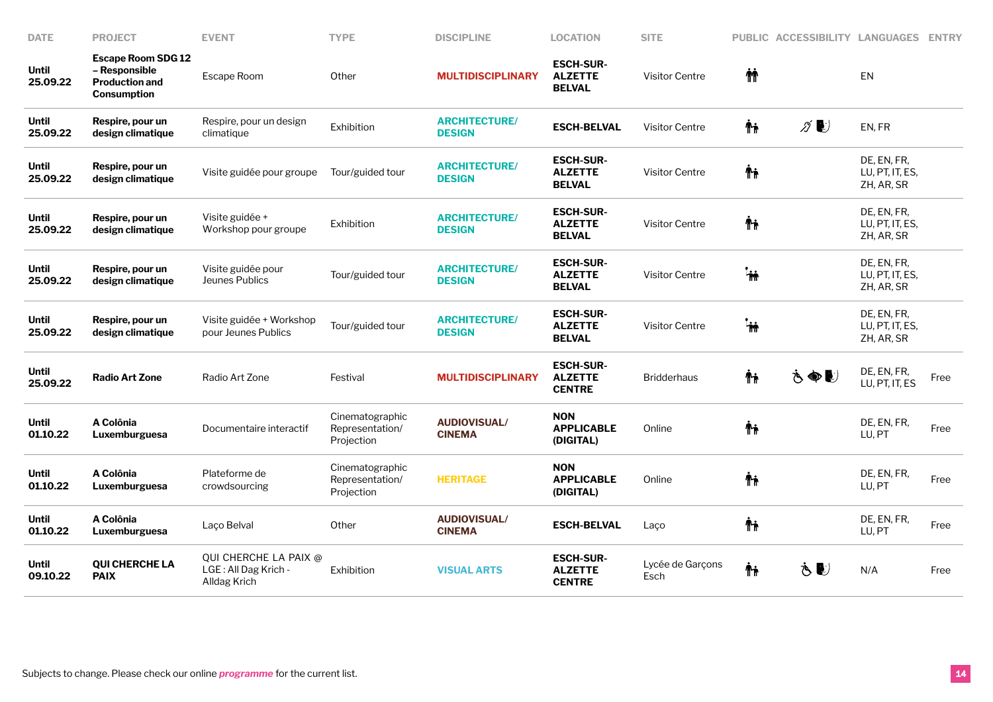| <b>DATE</b>              | <b>PROJECT</b>                                                                     | <b>EVENT</b>                                                  | <b>TYPE</b>                                      | <b>DISCIPLINE</b>                     | <b>LOCATION</b>                                     | <b>SITE</b>              |                 | PUBLIC ACCESSIBILITY LANGUAGES |                                              | <b>ENTRY</b> |
|--------------------------|------------------------------------------------------------------------------------|---------------------------------------------------------------|--------------------------------------------------|---------------------------------------|-----------------------------------------------------|--------------------------|-----------------|--------------------------------|----------------------------------------------|--------------|
| <b>Until</b><br>25.09.22 | <b>Escape Room SDG 12</b><br>- Responsible<br><b>Production and</b><br>Consumption | <b>Escape Room</b>                                            | Other                                            | <b>MULTIDISCIPLINARY</b>              | <b>ESCH-SUR-</b><br><b>ALZETTE</b><br><b>BELVAL</b> | <b>Visitor Centre</b>    | <b>M</b>        |                                | <b>EN</b>                                    |              |
| <b>Until</b><br>25.09.22 | Respire, pour un<br>design climatique                                              | Respire, pour un design<br>climatique                         | Exhibition                                       | <b>ARCHITECTURE/</b><br><b>DESIGN</b> | <b>ESCH-BELVAL</b>                                  | <b>Visitor Centre</b>    | Ϋħ              | $\mathscr{D}$                  | EN, FR                                       |              |
| <b>Until</b><br>25.09.22 | Respire, pour un<br>design climatique                                              | Visite guidée pour groupe                                     | Tour/guided tour                                 | <b>ARCHITECTURE/</b><br><b>DESIGN</b> | <b>ESCH-SUR-</b><br><b>ALZETTE</b><br><b>BELVAL</b> | <b>Visitor Centre</b>    | Ψŗ              |                                | DE, EN, FR,<br>LU, PT, IT, ES,<br>ZH, AR, SR |              |
| <b>Until</b><br>25.09.22 | Respire, pour un<br>design climatique                                              | Visite guidée +<br>Workshop pour groupe                       | Exhibition                                       | <b>ARCHITECTURE/</b><br><b>DESIGN</b> | <b>ESCH-SUR-</b><br><b>ALZETTE</b><br><b>BELVAL</b> | <b>Visitor Centre</b>    | Ψŗ              |                                | DE, EN, FR,<br>LU, PT, IT, ES,<br>ZH, AR, SR |              |
| <b>Until</b><br>25.09.22 | Respire, pour un<br>design climatique                                              | Visite guidée pour<br>Jeunes Publics                          | Tour/guided tour                                 | <b>ARCHITECTURE/</b><br><b>DESIGN</b> | <b>ESCH-SUR-</b><br><b>ALZETTE</b><br><b>BELVAL</b> | <b>Visitor Centre</b>    | $^{\mathsf{h}}$ |                                | DE, EN, FR,<br>LU, PT, IT, ES,<br>ZH, AR, SR |              |
| <b>Until</b><br>25.09.22 | Respire, pour un<br>design climatique                                              | Visite guidée + Workshop<br>pour Jeunes Publics               | Tour/guided tour                                 | <b>ARCHITECTURE/</b><br><b>DESIGN</b> | <b>ESCH-SUR-</b><br><b>ALZETTE</b><br><b>BELVAL</b> | <b>Visitor Centre</b>    | .<br>M          |                                | DE, EN, FR,<br>LU, PT, IT, ES,<br>ZH, AR, SR |              |
| <b>Until</b><br>25.09.22 | <b>Radio Art Zone</b>                                                              | Radio Art Zone                                                | Festival                                         | <b>MULTIDISCIPLINARY</b>              | <b>ESCH-SUR-</b><br><b>ALZETTE</b><br><b>CENTRE</b> | <b>Bridderhaus</b>       | ᡮ₦              | もぬじ                            | DE, EN, FR,<br>LU, PT, IT, ES                | Free         |
| <b>Until</b><br>01.10.22 | A Colônia<br>Luxemburguesa                                                         | Documentaire interactif                                       | Cinematographic<br>Representation/<br>Projection | <b>AUDIOVISUAL/</b><br><b>CINEMA</b>  | <b>NON</b><br><b>APPLICABLE</b><br>(DIGITAL)        | Online                   | Ψŗ              |                                | DE, EN, FR,<br>LU, PT                        | Free         |
| <b>Until</b><br>01.10.22 | A Colônia<br>Luxemburguesa                                                         | Plateforme de<br>crowdsourcing                                | Cinematographic<br>Representation/<br>Projection | <b>HERITAGE</b>                       | <b>NON</b><br><b>APPLICABLE</b><br>(DIGITAL)        | Online                   | Ψŗ              |                                | DE, EN, FR,<br>LU, PT                        | Free         |
| <b>Until</b><br>01.10.22 | A Colônia<br>Luxemburguesa                                                         | Laço Belval                                                   | Other                                            | <b>AUDIOVISUAL/</b><br><b>CINEMA</b>  | <b>ESCH-BELVAL</b>                                  | Laco                     | Ψŗ              |                                | DE, EN, FR,<br>LU, PT                        | Free         |
| <b>Until</b><br>09.10.22 | <b>QUI CHERCHE LA</b><br><b>PAIX</b>                                               | QUI CHERCHE LA PAIX @<br>LGE: All Dag Krich -<br>Alldag Krich | Exhibition                                       | <b>VISUAL ARTS</b>                    | <b>ESCH-SUR-</b><br><b>ALZETTE</b><br><b>CENTRE</b> | Lycée de Garçons<br>Esch | Ψŗ              | Ò €                            | N/A                                          | Free         |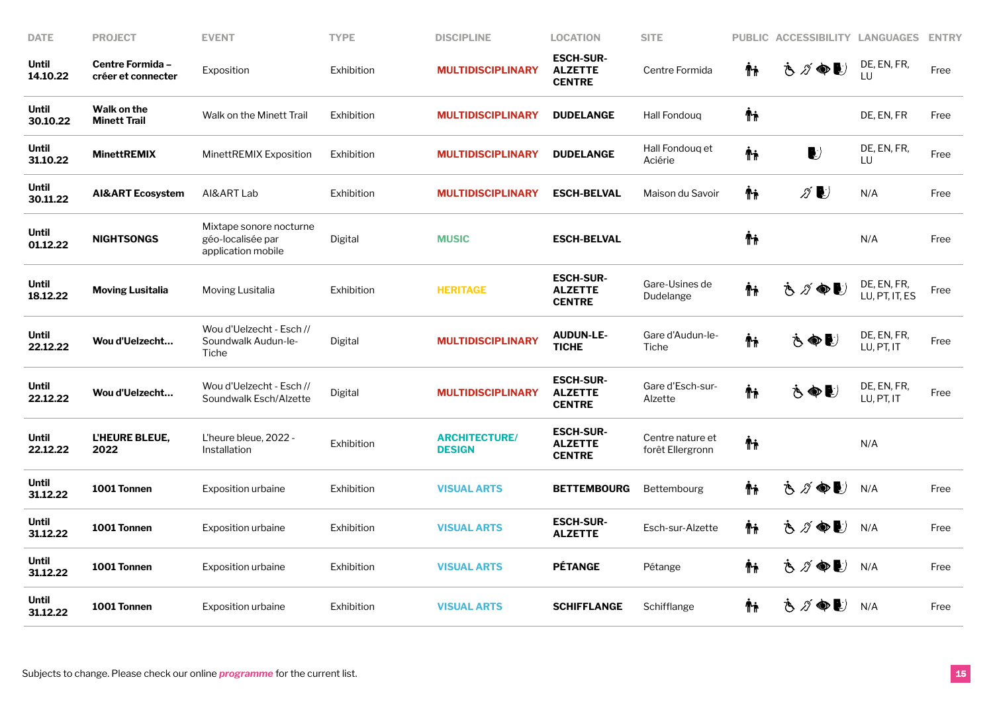| <b>DATE</b>              | <b>PROJECT</b>                         | <b>EVENT</b>                                                       | <b>TYPE</b> | <b>DISCIPLINE</b>                     | <b>LOCATION</b>                                     | <b>SITE</b>                          |     | PUBLIC ACCESSIBILITY LANGUAGES                 |                               | <b>ENTRY</b> |
|--------------------------|----------------------------------------|--------------------------------------------------------------------|-------------|---------------------------------------|-----------------------------------------------------|--------------------------------------|-----|------------------------------------------------|-------------------------------|--------------|
| <b>Until</b><br>14.10.22 | Centre Formida -<br>créer et connecter | Exposition                                                         | Exhibition  | <b>MULTIDISCIPLINARY</b>              | <b>ESCH-SUR-</b><br><b>ALZETTE</b><br><b>CENTRE</b> | Centre Formida                       | Ϋħ  | さグ●し                                           | DE, EN, FR,<br>LU             | Free         |
| <b>Until</b><br>30.10.22 | Walk on the<br><b>Minett Trail</b>     | Walk on the Minett Trail                                           | Exhibition  | <b>MULTIDISCIPLINARY</b>              | <b>DUDELANGE</b>                                    | Hall Fondoug                         | Ψŗ  |                                                | DE, EN, FR                    | Free         |
| <b>Until</b><br>31.10.22 | <b>MinettREMIX</b>                     | MinettREMIX Exposition                                             | Exhibition  | <b>MULTIDISCIPLINARY</b>              | <b>DUDELANGE</b>                                    | Hall Fondoug et<br>Aciérie           | Ψŗ  | $\bullet$                                      | DE, EN, FR,<br>LU             | Free         |
| Until<br>30.11.22        | <b>AI&amp;ART Ecosystem</b>            | AI&ART Lab                                                         | Exhibition  | <b>MULTIDISCIPLINARY</b>              | <b>ESCH-BELVAL</b>                                  | Maison du Savoir                     | Ϋħ  | ∥♪                                             | N/A                           | Free         |
| Until<br>01.12.22        | <b>NIGHTSONGS</b>                      | Mixtape sonore nocturne<br>géo-localisée par<br>application mobile | Digital     | <b>MUSIC</b>                          | <b>ESCH-BELVAL</b>                                  |                                      | Ψŗ  |                                                | N/A                           | Free         |
| <b>Until</b><br>18.12.22 | <b>Moving Lusitalia</b>                | Moving Lusitalia                                                   | Exhibition  | <b>HERITAGE</b>                       | <b>ESCH-SUR-</b><br><b>ALZETTE</b><br><b>CENTRE</b> | Gare-Usines de<br>Dudelange          | Ψŗ  | $\bullet$ (<br>$\widetilde{\mathscr{D}}$<br>Š. | DE, EN, FR,<br>LU, PT, IT, ES | Free         |
| <b>Until</b><br>22.12.22 | Wou d'Uelzecht                         | Wou d'Uelzecht - Esch //<br>Soundwalk Audun-le-<br>Tiche           | Digital     | <b>MULTIDISCIPLINARY</b>              | <b>AUDUN-LE-</b><br><b>TICHE</b>                    | Gare d'Audun-le-<br>Tiche            | Ψŗ  | もぬし                                            | DE, EN, FR,<br>LU, PT, IT     | Free         |
| Until<br>22.12.22        | Wou d'Uelzecht                         | Wou d'Uelzecht - Esch //<br>Soundwalk Esch/Alzette                 | Digital     | <b>MULTIDISCIPLINARY</b>              | <b>ESCH-SUR-</b><br><b>ALZETTE</b><br><b>CENTRE</b> | Gare d'Esch-sur-<br>Alzette          | ᡮᡝ  | もぬじ                                            | DE, EN, FR,<br>LU, PT, IT     | Free         |
| <b>Until</b><br>22.12.22 | <b>L'HEURE BLEUE,</b><br>2022          | L'heure bleue, 2022 -<br>Installation                              | Exhibition  | <b>ARCHITECTURE/</b><br><b>DESIGN</b> | <b>ESCH-SUR-</b><br><b>ALZETTE</b><br><b>CENTRE</b> | Centre nature et<br>forêt Ellergronn | Ψŗ  |                                                | N/A                           |              |
| <b>Until</b><br>31.12.22 | 1001 Tonnen                            | <b>Exposition urbaine</b>                                          | Exhibition  | <b>VISUAL ARTS</b>                    | <b>BETTEMBOURG</b>                                  | <b>Bettembourg</b>                   | Ϋ'n | さ ∥ ●■                                         | N/A                           | Free         |
| Until<br>31.12.22        | 1001 Tonnen                            | <b>Exposition urbaine</b>                                          | Exhibition  | <b>VISUAL ARTS</b>                    | <b>ESCH-SUR-</b><br><b>ALZETTE</b>                  | Esch-sur-Alzette                     | Ψŗ  | さグ●し                                           | N/A                           | Free         |
| Until<br>31.12.22        | 1001 Tonnen                            | <b>Exposition urbaine</b>                                          | Exhibition  | <b>VISUAL ARTS</b>                    | <b>PÉTANGE</b>                                      | Pétange                              | Ϋ'n | さグ●し                                           | N/A                           | Free         |
| <b>Until</b><br>31.12.22 | 1001 Tonnen                            | <b>Exposition urbaine</b>                                          | Exhibition  | <b>VISUAL ARTS</b>                    | <b>SCHIFFLANGE</b>                                  | Schifflange                          | Ϋ'n | さづゆし                                           | N/A                           | Free         |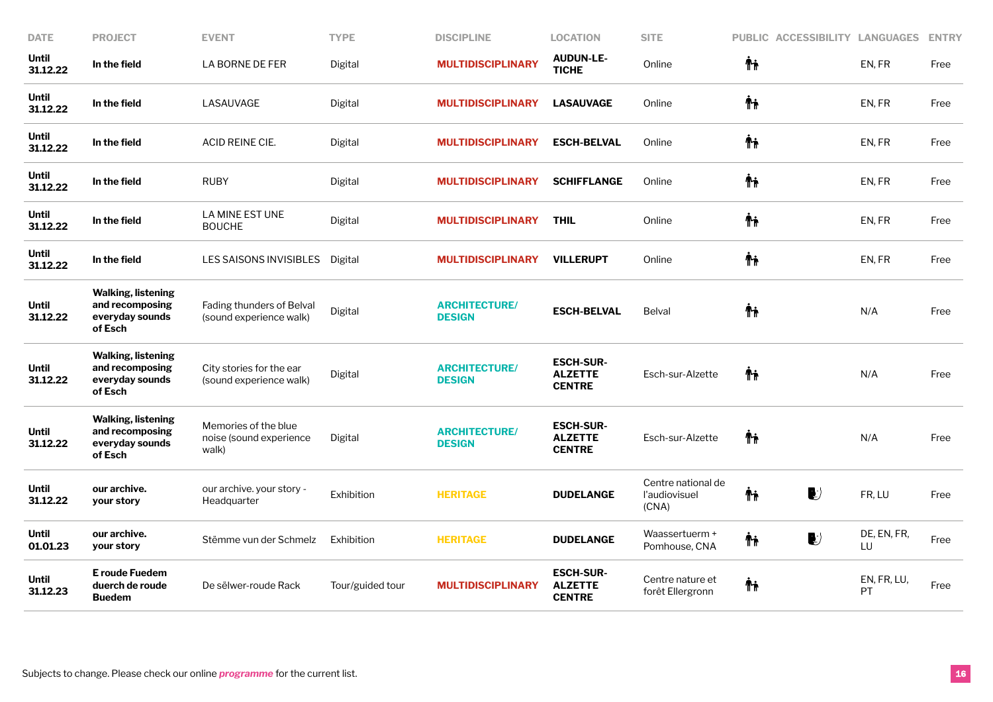| <b>DATE</b>              | <b>PROJECT</b>                                                             | <b>EVENT</b>                                             | <b>TYPE</b>      | <b>DISCIPLINE</b>                     | <b>LOCATION</b>                                     | <b>SITE</b>                                  | PUBLIC ACCESSIBILITY LANGUAGES |                   | <b>ENTRY</b> |
|--------------------------|----------------------------------------------------------------------------|----------------------------------------------------------|------------------|---------------------------------------|-----------------------------------------------------|----------------------------------------------|--------------------------------|-------------------|--------------|
| <b>Until</b><br>31.12.22 | In the field                                                               | LA BORNE DE FER                                          | Digital          | <b>MULTIDISCIPLINARY</b>              | <b>AUDUN-LE-</b><br><b>TICHE</b>                    | Online                                       | Ψŗ                             | EN, FR            | Free         |
| Until<br>31.12.22        | In the field                                                               | LASAUVAGE                                                | Digital          | <b>MULTIDISCIPLINARY</b>              | <b>LASAUVAGE</b>                                    | Online                                       | Ϋħ                             | EN, FR            | Free         |
| Until<br>31.12.22        | In the field                                                               | ACID REINE CIE.                                          | Digital          | <b>MULTIDISCIPLINARY</b>              | <b>ESCH-BELVAL</b>                                  | Online                                       | Ψŗ                             | EN, FR            | Free         |
| <b>Until</b><br>31.12.22 | In the field                                                               | <b>RUBY</b>                                              | Digital          | <b>MULTIDISCIPLINARY</b>              | <b>SCHIFFLANGE</b>                                  | Online                                       | Ψŗ                             | EN, FR            | Free         |
| <b>Until</b><br>31.12.22 | In the field                                                               | LA MINE EST UNE<br><b>BOUCHE</b>                         | Digital          | <b>MULTIDISCIPLINARY</b>              | <b>THIL</b>                                         | Online                                       | Ψŗ                             | EN, FR            | Free         |
| <b>Until</b><br>31.12.22 | In the field                                                               | LES SAISONS INVISIBLES                                   | Digital          | <b>MULTIDISCIPLINARY</b>              | <b>VILLERUPT</b>                                    | Online                                       | Ϋħ                             | EN, FR            | Free         |
| <b>Until</b><br>31.12.22 | <b>Walking, listening</b><br>and recomposing<br>everyday sounds<br>of Esch | Fading thunders of Belval<br>(sound experience walk)     | Digital          | <b>ARCHITECTURE/</b><br><b>DESIGN</b> | <b>ESCH-BELVAL</b>                                  | <b>Belval</b>                                | Ψŗ                             | N/A               | Free         |
| <b>Until</b><br>31.12.22 | <b>Walking, listening</b><br>and recomposing<br>everyday sounds<br>of Esch | City stories for the ear<br>(sound experience walk)      | Digital          | <b>ARCHITECTURE/</b><br><b>DESIGN</b> | <b>ESCH-SUR-</b><br><b>ALZETTE</b><br><b>CENTRE</b> | Esch-sur-Alzette                             | Ψŗ                             | N/A               | Free         |
| <b>Until</b><br>31.12.22 | <b>Walking, listening</b><br>and recomposing<br>everyday sounds<br>of Esch | Memories of the blue<br>noise (sound experience<br>walk) | Digital          | <b>ARCHITECTURE/</b><br><b>DESIGN</b> | <b>ESCH-SUR-</b><br><b>ALZETTE</b><br><b>CENTRE</b> | Esch-sur-Alzette                             | ħ                              | N/A               | Free         |
| <b>Until</b><br>31.12.22 | our archive.<br>your story                                                 | our archive. your story -<br>Headquarter                 | Exhibition       | <b>HERITAGE</b>                       | <b>DUDELANGE</b>                                    | Centre national de<br>l'audiovisuel<br>(CNA) | $\bigcup$<br>Ψŗ                | FR, LU            | Free         |
| <b>Until</b><br>01.01.23 | our archive.<br>your story                                                 | Stëmme vun der Schmelz                                   | Exhibition       | <b>HERITAGE</b>                       | <b>DUDELANGE</b>                                    | Waassertuerm +<br>Pomhouse, CNA              | $\blacktriangleright$<br>Ψŗ    | DE, EN, FR,<br>LU | Free         |
| <b>Until</b><br>31.12.23 | E roude Fuedem<br>duerch de roude<br><b>Buedem</b>                         | De sëlwer-roude Rack                                     | Tour/guided tour | <b>MULTIDISCIPLINARY</b>              | <b>ESCH-SUR-</b><br><b>ALZETTE</b><br><b>CENTRE</b> | Centre nature et<br>forêt Ellergronn         | ΨĻ                             | EN, FR, LU,<br>PT | Free         |